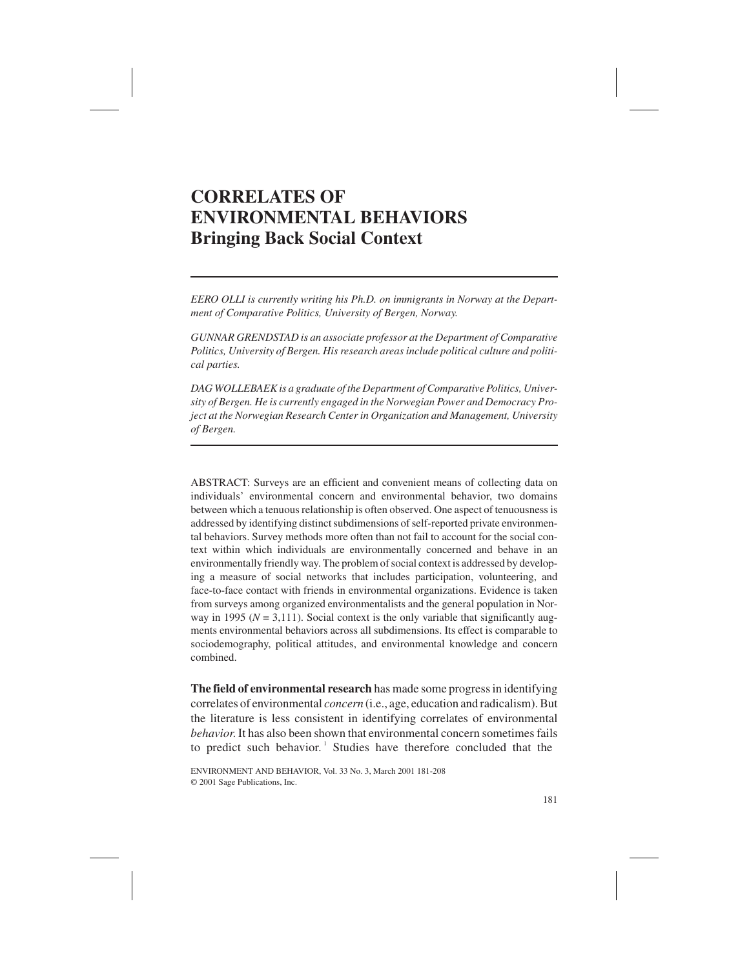# **CORRELATES OF ENVIRONMENTAL BEHAVIORS Bringing Back Social Context**

*EERO OLLI is currently writing his Ph.D. on immigrants in Norway at the Department of Comparative Politics, University of Bergen, Norway.*

*GUNNAR GRENDSTAD is an associate professor at the Department of Comparative Politics, University of Bergen. His research areas include political culture and political parties.*

*DAG WOLLEBAEK is a graduate of the Department of Comparative Politics, University of Bergen. He is currently engaged in the Norwegian Power and Democracy Project at the Norwegian Research Center in Organization and Management, University of Bergen.*

ABSTRACT: Surveys are an efficient and convenient means of collecting data on individuals' environmental concern and environmental behavior, two domains between which a tenuous relationship is often observed. One aspect of tenuousness is addressed by identifying distinct subdimensions of self-reported private environmental behaviors. Survey methods more often than not fail to account for the social context within which individuals are environmentally concerned and behave in an environmentally friendly way. The problem of social context is addressed by developing a measure of social networks that includes participation, volunteering, and face-to-face contact with friends in environmental organizations. Evidence is taken from surveys among organized environmentalists and the general population in Norway in 1995 ( $N = 3,111$ ). Social context is the only variable that significantly augments environmental behaviors across all subdimensions. Its effect is comparable to sociodemography, political attitudes, and environmental knowledge and concern combined.

**The field of environmental research** has made some progress in identifying correlates of environmental *concern* (i.e., age, education and radicalism). But the literature is less consistent in identifying correlates of environmental *behavior*. It has also been shown that environmental concern sometimes fails to predict such behavior.<sup>1</sup> Studies have therefore concluded that the

ENVIRONMENT AND BEHAVIOR, Vol. 33 No. 3, March 2001 181-208 © 2001 Sage Publications, Inc.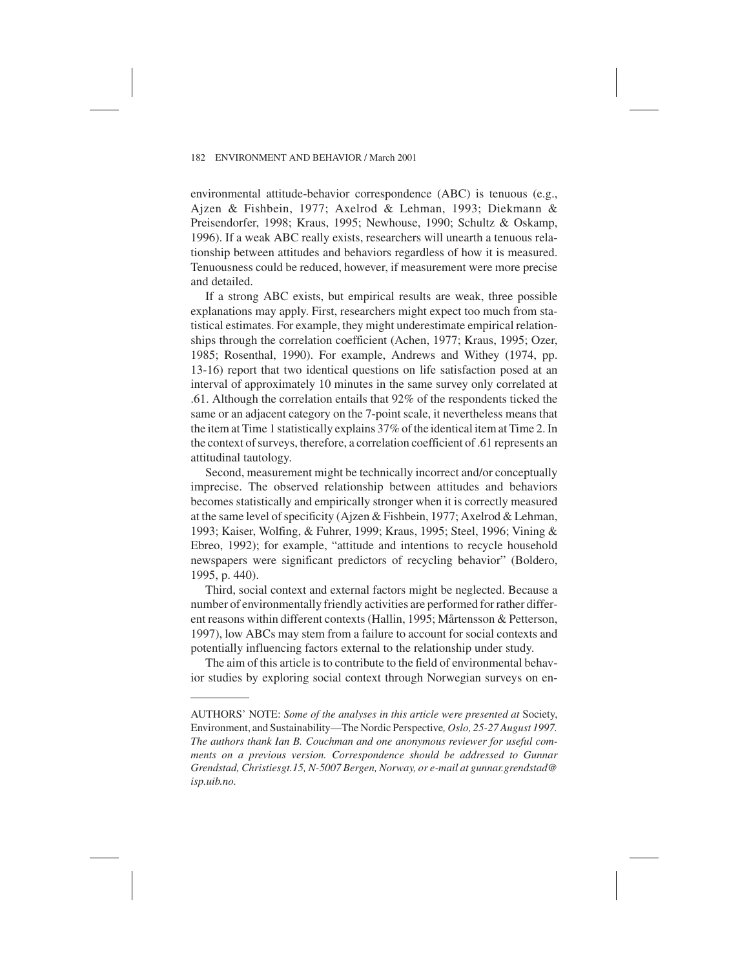environmental attitude-behavior correspondence (ABC) is tenuous (e.g., Ajzen & Fishbein, 1977; Axelrod & Lehman, 1993; Diekmann & Preisendorfer, 1998; Kraus, 1995; Newhouse, 1990; Schultz & Oskamp, 1996). If a weak ABC really exists, researchers will unearth a tenuous relationship between attitudes and behaviors regardless of how it is measured. Tenuousness could be reduced, however, if measurement were more precise and detailed.

If a strong ABC exists, but empirical results are weak, three possible explanations may apply. First, researchers might expect too much from statistical estimates. For example, they might underestimate empirical relationships through the correlation coefficient (Achen, 1977; Kraus, 1995; Ozer, 1985; Rosenthal, 1990). For example, Andrews and Withey (1974, pp. 13-16) report that two identical questions on life satisfaction posed at an interval of approximately 10 minutes in the same survey only correlated at .61. Although the correlation entails that 92% of the respondents ticked the same or an adjacent category on the 7-point scale, it nevertheless means that the item at Time 1 statistically explains 37% of the identical item at Time 2. In the context of surveys, therefore, a correlation coefficient of .61 represents an attitudinal tautology.

Second, measurement might be technically incorrect and/or conceptually imprecise. The observed relationship between attitudes and behaviors becomes statistically and empirically stronger when it is correctly measured at the same level of specificity (Ajzen & Fishbein, 1977; Axelrod & Lehman, 1993; Kaiser, Wolfing, & Fuhrer, 1999; Kraus, 1995; Steel, 1996; Vining & Ebreo, 1992); for example, "attitude and intentions to recycle household newspapers were significant predictors of recycling behavior" (Boldero, 1995, p. 440).

Third, social context and external factors might be neglected. Because a number of environmentally friendly activities are performed for rather different reasons within different contexts (Hallin, 1995; Mårtensson & Petterson, 1997), low ABCs may stem from a failure to account for social contexts and potentially influencing factors external to the relationship under study.

The aim of this article is to contribute to the field of environmental behavior studies by exploring social context through Norwegian surveys on en-

AUTHORS' NOTE: *Some of the analyses in this article were presented at* Society, Environment, and Sustainability—The Nordic Perspective*, Oslo, 25-27 August 1997. The authors thank Ian B. Couchman and one anonymous reviewer for useful comments on a previous version. Correspondence should be addressed to Gunnar Grendstad, Christiesgt.15, N-5007 Bergen, Norway, or e-mail at gunnar.grendstad@ isp.uib.no.*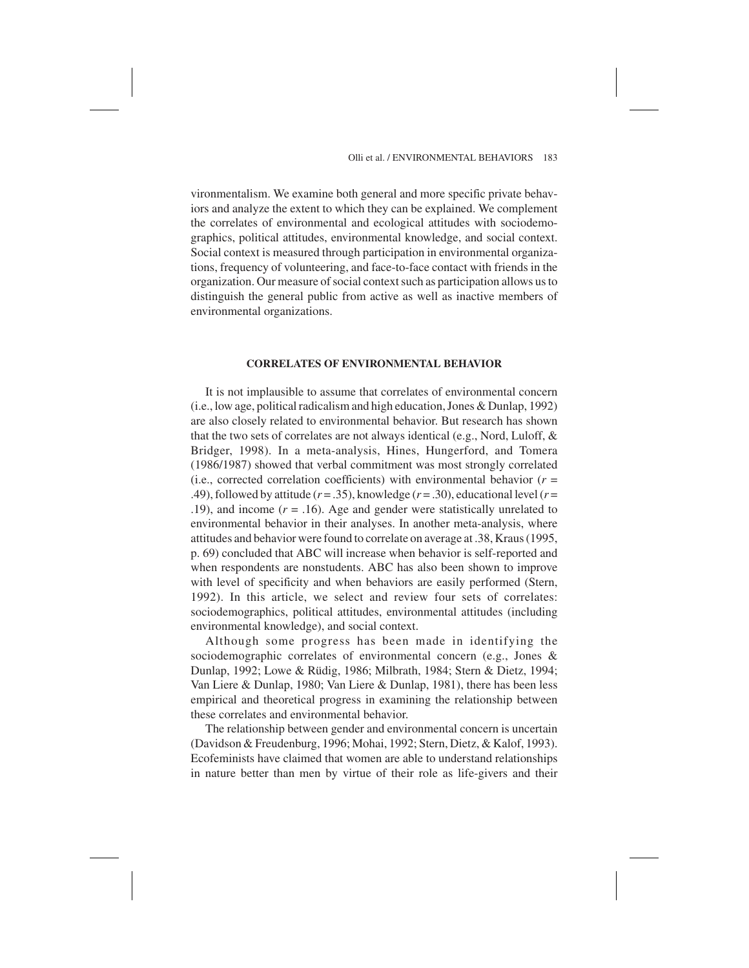vironmentalism. We examine both general and more specific private behaviors and analyze the extent to which they can be explained. We complement the correlates of environmental and ecological attitudes with sociodemographics, political attitudes, environmental knowledge, and social context. Social context is measured through participation in environmental organizations, frequency of volunteering, and face-to-face contact with friends in the organization. Our measure of social context such as participation allows us to distinguish the general public from active as well as inactive members of environmental organizations.

#### **CORRELATES OF ENVIRONMENTAL BEHAVIOR**

It is not implausible to assume that correlates of environmental concern (i.e., low age, political radicalism and high education, Jones & Dunlap, 1992) are also closely related to environmental behavior. But research has shown that the two sets of correlates are not always identical (e.g., Nord, Luloff, & Bridger, 1998). In a meta-analysis, Hines, Hungerford, and Tomera (1986/1987) showed that verbal commitment was most strongly correlated (i.e., corrected correlation coefficients) with environmental behavior ( $r =$ .49), followed by attitude  $(r = .35)$ , knowledge  $(r = .30)$ , educational level  $(r = .39)$ .19), and income (*r* = .16). Age and gender were statistically unrelated to environmental behavior in their analyses. In another meta-analysis, where attitudes and behavior were found to correlate on average at .38, Kraus (1995, p. 69) concluded that ABC will increase when behavior is self-reported and when respondents are nonstudents. ABC has also been shown to improve with level of specificity and when behaviors are easily performed (Stern, 1992). In this article, we select and review four sets of correlates: sociodemographics, political attitudes, environmental attitudes (including environmental knowledge), and social context.

Although some progress has been made in identifying the sociodemographic correlates of environmental concern (e.g., Jones & Dunlap, 1992; Lowe & Rüdig, 1986; Milbrath, 1984; Stern & Dietz, 1994; Van Liere & Dunlap, 1980; Van Liere & Dunlap, 1981), there has been less empirical and theoretical progress in examining the relationship between these correlates and environmental behavior.

The relationship between gender and environmental concern is uncertain (Davidson & Freudenburg, 1996; Mohai, 1992; Stern, Dietz, & Kalof, 1993). Ecofeminists have claimed that women are able to understand relationships in nature better than men by virtue of their role as life-givers and their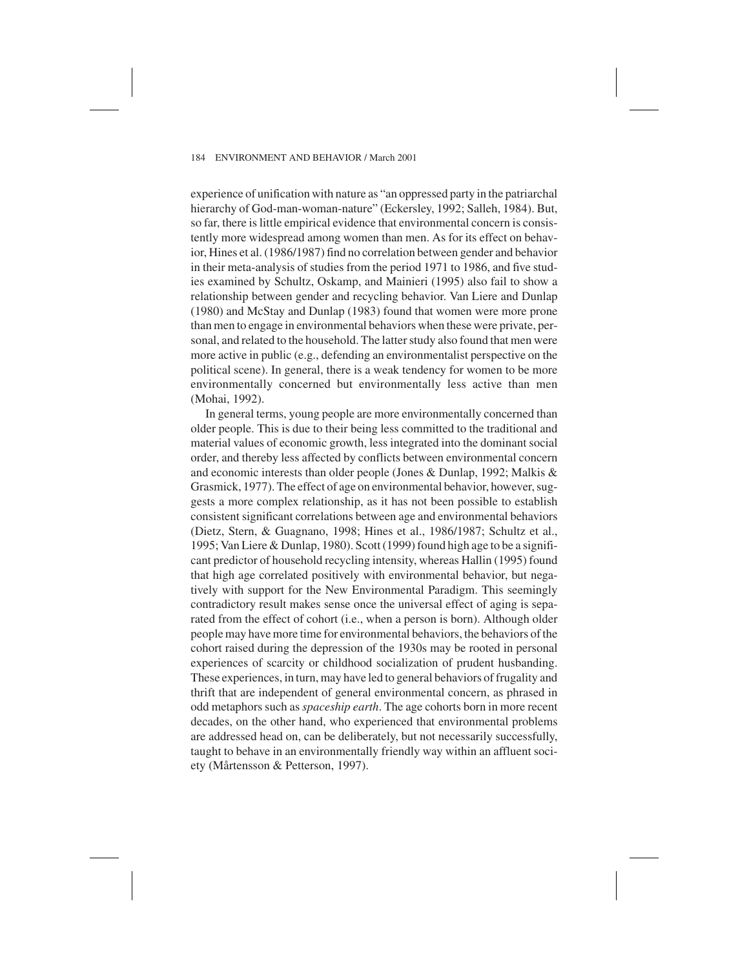experience of unification with nature as "an oppressed party in the patriarchal hierarchy of God-man-woman-nature" (Eckersley, 1992; Salleh, 1984). But, so far, there is little empirical evidence that environmental concern is consistently more widespread among women than men. As for its effect on behavior, Hines et al. (1986/1987) find no correlation between gender and behavior in their meta-analysis of studies from the period 1971 to 1986, and five studies examined by Schultz, Oskamp, and Mainieri (1995) also fail to show a relationship between gender and recycling behavior. Van Liere and Dunlap (1980) and McStay and Dunlap (1983) found that women were more prone than men to engage in environmental behaviors when these were private, personal, and related to the household. The latter study also found that men were more active in public (e.g., defending an environmentalist perspective on the political scene). In general, there is a weak tendency for women to be more environmentally concerned but environmentally less active than men (Mohai, 1992).

In general terms, young people are more environmentally concerned than older people. This is due to their being less committed to the traditional and material values of economic growth, less integrated into the dominant social order, and thereby less affected by conflicts between environmental concern and economic interests than older people (Jones & Dunlap, 1992; Malkis & Grasmick, 1977). The effect of age on environmental behavior, however, suggests a more complex relationship, as it has not been possible to establish consistent significant correlations between age and environmental behaviors (Dietz, Stern, & Guagnano, 1998; Hines et al., 1986/1987; Schultz et al., 1995; Van Liere & Dunlap, 1980). Scott (1999) found high age to be a significant predictor of household recycling intensity, whereas Hallin (1995) found that high age correlated positively with environmental behavior, but negatively with support for the New Environmental Paradigm. This seemingly contradictory result makes sense once the universal effect of aging is separated from the effect of cohort (i.e., when a person is born). Although older people may have more time for environmental behaviors, the behaviors of the cohort raised during the depression of the 1930s may be rooted in personal experiences of scarcity or childhood socialization of prudent husbanding. These experiences, in turn, may have led to general behaviors of frugality and thrift that are independent of general environmental concern, as phrased in odd metaphors such as *spaceship earth*. The age cohorts born in more recent decades, on the other hand, who experienced that environmental problems are addressed head on, can be deliberately, but not necessarily successfully, taught to behave in an environmentally friendly way within an affluent society (Mårtensson & Petterson, 1997).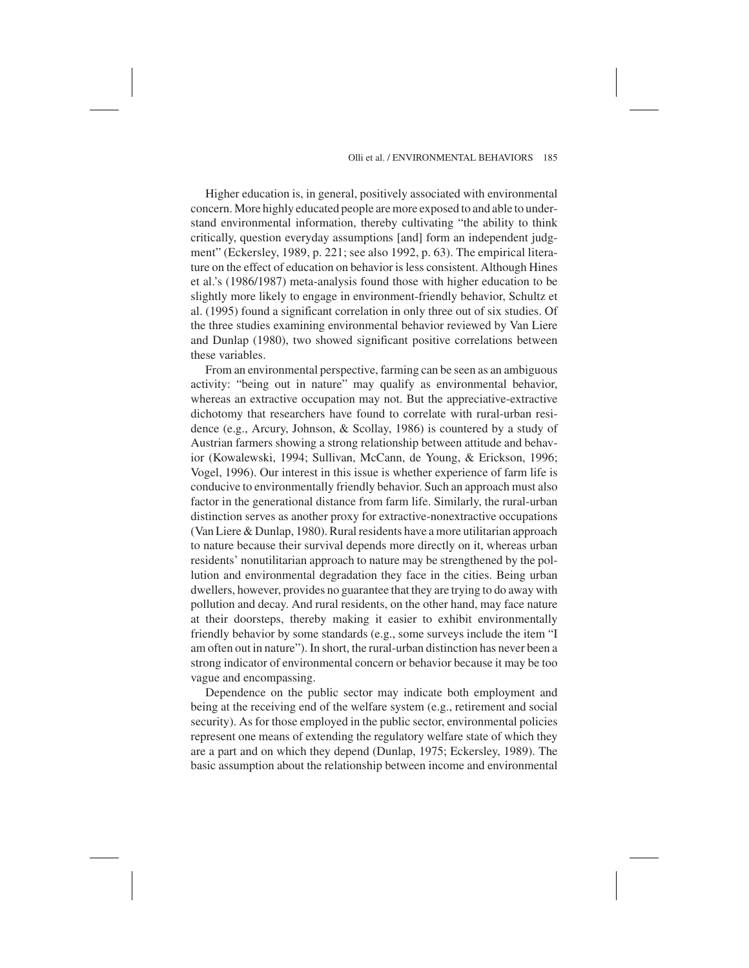#### Olli et al. / ENVIRONMENTAL BEHAVIORS 185

Higher education is, in general, positively associated with environmental concern. More highly educated people are more exposed to and able to understand environmental information, thereby cultivating "the ability to think critically, question everyday assumptions [and] form an independent judgment" (Eckersley, 1989, p. 221; see also 1992, p. 63). The empirical literature on the effect of education on behavior is less consistent. Although Hines et al.'s (1986/1987) meta-analysis found those with higher education to be slightly more likely to engage in environment-friendly behavior, Schultz et al. (1995) found a significant correlation in only three out of six studies. Of the three studies examining environmental behavior reviewed by Van Liere and Dunlap (1980), two showed significant positive correlations between these variables.

From an environmental perspective, farming can be seen as an ambiguous activity: "being out in nature" may qualify as environmental behavior, whereas an extractive occupation may not. But the appreciative-extractive dichotomy that researchers have found to correlate with rural-urban residence (e.g., Arcury, Johnson, & Scollay, 1986) is countered by a study of Austrian farmers showing a strong relationship between attitude and behavior (Kowalewski, 1994; Sullivan, McCann, de Young, & Erickson, 1996; Vogel, 1996). Our interest in this issue is whether experience of farm life is conducive to environmentally friendly behavior. Such an approach must also factor in the generational distance from farm life. Similarly, the rural-urban distinction serves as another proxy for extractive-nonextractive occupations (Van Liere & Dunlap, 1980). Rural residents have a more utilitarian approach to nature because their survival depends more directly on it, whereas urban residents' nonutilitarian approach to nature may be strengthened by the pollution and environmental degradation they face in the cities. Being urban dwellers, however, provides no guarantee that they are trying to do away with pollution and decay. And rural residents, on the other hand, may face nature at their doorsteps, thereby making it easier to exhibit environmentally friendly behavior by some standards (e.g., some surveys include the item "I am often out in nature"). In short, the rural-urban distinction has never been a strong indicator of environmental concern or behavior because it may be too vague and encompassing.

Dependence on the public sector may indicate both employment and being at the receiving end of the welfare system (e.g., retirement and social security). As for those employed in the public sector, environmental policies represent one means of extending the regulatory welfare state of which they are a part and on which they depend (Dunlap, 1975; Eckersley, 1989). The basic assumption about the relationship between income and environmental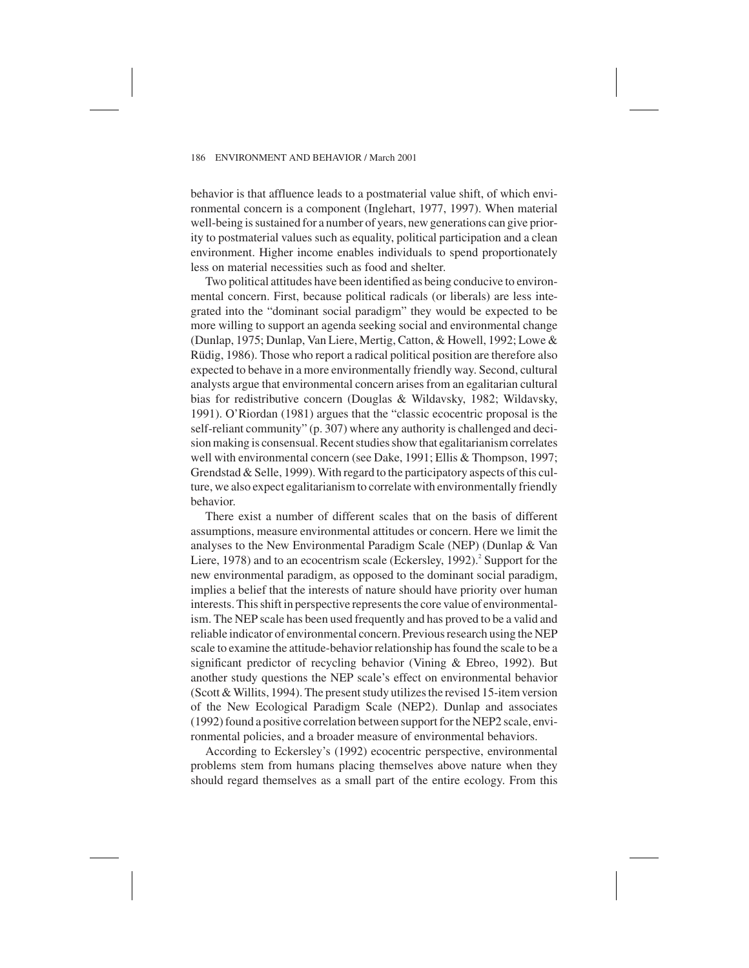behavior is that affluence leads to a postmaterial value shift, of which environmental concern is a component (Inglehart, 1977, 1997). When material well-being is sustained for a number of years, new generations can give priority to postmaterial values such as equality, political participation and a clean environment. Higher income enables individuals to spend proportionately less on material necessities such as food and shelter.

Two political attitudes have been identified as being conducive to environmental concern. First, because political radicals (or liberals) are less integrated into the "dominant social paradigm" they would be expected to be more willing to support an agenda seeking social and environmental change (Dunlap, 1975; Dunlap, Van Liere, Mertig, Catton, & Howell, 1992; Lowe & Rüdig, 1986). Those who report a radical political position are therefore also expected to behave in a more environmentally friendly way. Second, cultural analysts argue that environmental concern arises from an egalitarian cultural bias for redistributive concern (Douglas & Wildavsky, 1982; Wildavsky, 1991). O'Riordan (1981) argues that the "classic ecocentric proposal is the self-reliant community" (p. 307) where any authority is challenged and decision making is consensual. Recent studies show that egalitarianism correlates well with environmental concern (see Dake, 1991; Ellis & Thompson, 1997; Grendstad & Selle, 1999). With regard to the participatory aspects of this culture, we also expect egalitarianism to correlate with environmentally friendly behavior.

There exist a number of different scales that on the basis of different assumptions, measure environmental attitudes or concern. Here we limit the analyses to the New Environmental Paradigm Scale (NEP) (Dunlap & Van Liere, 1978) and to an ecocentrism scale (Eckersley, 1992).<sup>2</sup> Support for the new environmental paradigm, as opposed to the dominant social paradigm, implies a belief that the interests of nature should have priority over human interests. This shift in perspective represents the core value of environmentalism. The NEP scale has been used frequently and has proved to be a valid and reliable indicator of environmental concern. Previous research using the NEP scale to examine the attitude-behavior relationship has found the scale to be a significant predictor of recycling behavior (Vining & Ebreo, 1992). But another study questions the NEP scale's effect on environmental behavior (Scott & Willits, 1994). The present study utilizes the revised 15-item version of the New Ecological Paradigm Scale (NEP2). Dunlap and associates (1992) found a positive correlation between support for the NEP2 scale, environmental policies, and a broader measure of environmental behaviors.

According to Eckersley's (1992) ecocentric perspective, environmental problems stem from humans placing themselves above nature when they should regard themselves as a small part of the entire ecology. From this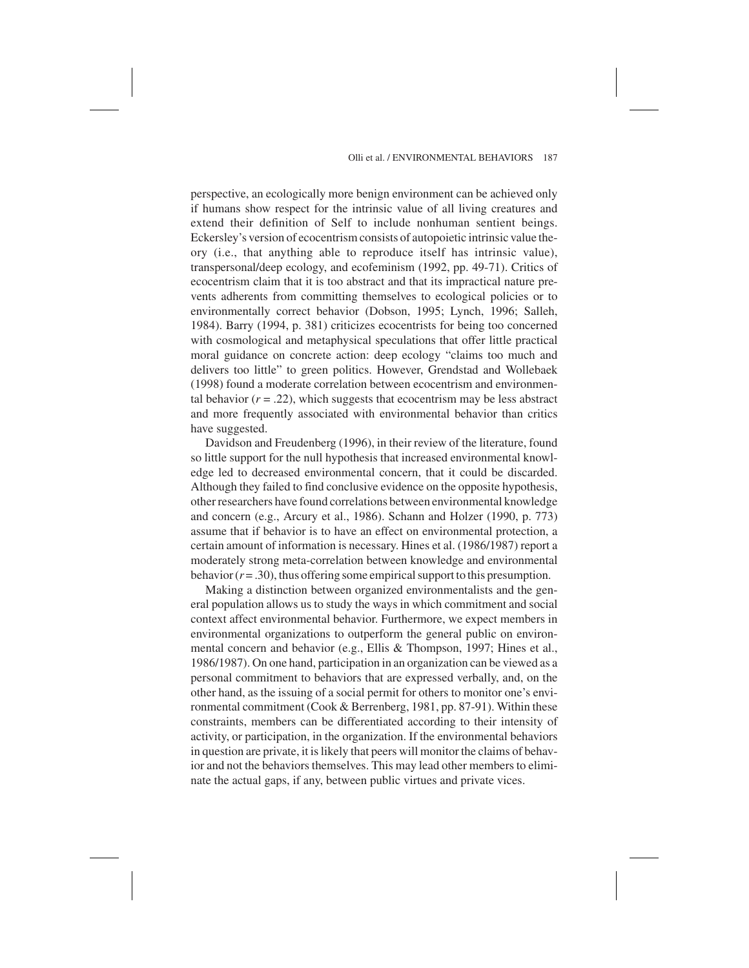#### Olli et al. / ENVIRONMENTAL BEHAVIORS 187

perspective, an ecologically more benign environment can be achieved only if humans show respect for the intrinsic value of all living creatures and extend their definition of Self to include nonhuman sentient beings. Eckersley's version of ecocentrism consists of autopoietic intrinsic value theory (i.e., that anything able to reproduce itself has intrinsic value), transpersonal/deep ecology, and ecofeminism (1992, pp. 49-71). Critics of ecocentrism claim that it is too abstract and that its impractical nature prevents adherents from committing themselves to ecological policies or to environmentally correct behavior (Dobson, 1995; Lynch, 1996; Salleh, 1984). Barry (1994, p. 381) criticizes ecocentrists for being too concerned with cosmological and metaphysical speculations that offer little practical moral guidance on concrete action: deep ecology "claims too much and delivers too little" to green politics. However, Grendstad and Wollebaek (1998) found a moderate correlation between ecocentrism and environmental behavior  $(r = .22)$ , which suggests that ecocentrism may be less abstract and more frequently associated with environmental behavior than critics have suggested.

Davidson and Freudenberg (1996), in their review of the literature, found so little support for the null hypothesis that increased environmental knowledge led to decreased environmental concern, that it could be discarded. Although they failed to find conclusive evidence on the opposite hypothesis, other researchers have found correlations between environmental knowledge and concern (e.g., Arcury et al., 1986). Schann and Holzer (1990, p. 773) assume that if behavior is to have an effect on environmental protection, a certain amount of information is necessary. Hines et al. (1986/1987) report a moderately strong meta-correlation between knowledge and environmental behavior  $(r = .30)$ , thus offering some empirical support to this presumption.

Making a distinction between organized environmentalists and the general population allows us to study the ways in which commitment and social context affect environmental behavior. Furthermore, we expect members in environmental organizations to outperform the general public on environmental concern and behavior (e.g., Ellis & Thompson, 1997; Hines et al., 1986/1987). On one hand, participation in an organization can be viewed as a personal commitment to behaviors that are expressed verbally, and, on the other hand, as the issuing of a social permit for others to monitor one's environmental commitment (Cook & Berrenberg, 1981, pp. 87-91). Within these constraints, members can be differentiated according to their intensity of activity, or participation, in the organization. If the environmental behaviors in question are private, it is likely that peers will monitor the claims of behavior and not the behaviors themselves. This may lead other members to eliminate the actual gaps, if any, between public virtues and private vices.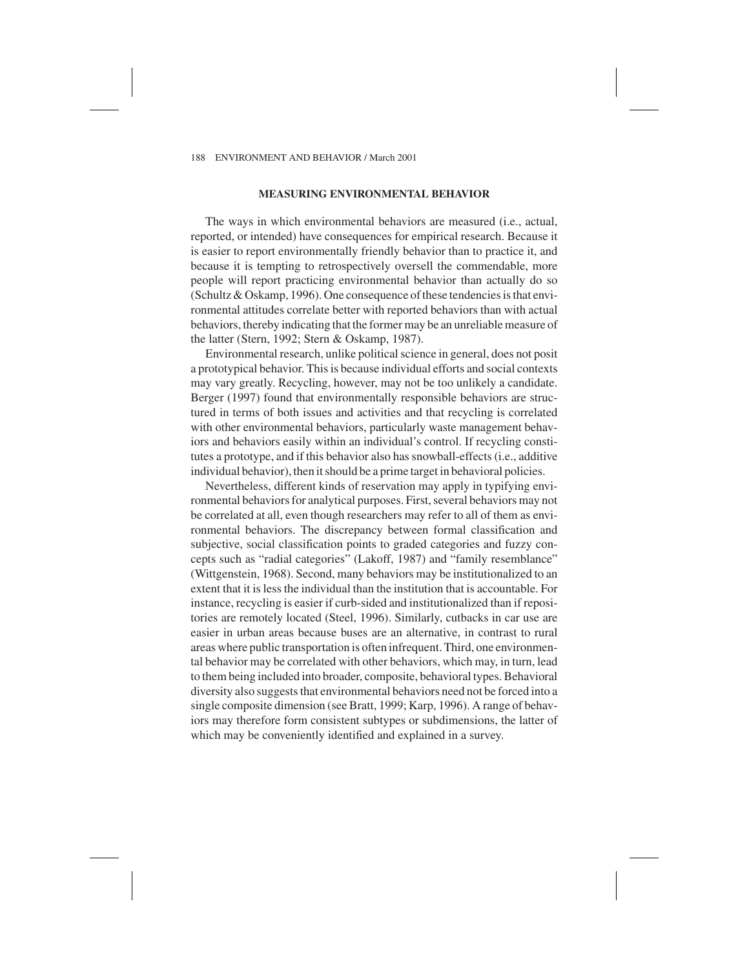## **MEASURING ENVIRONMENTAL BEHAVIOR**

The ways in which environmental behaviors are measured (i.e., actual, reported, or intended) have consequences for empirical research. Because it is easier to report environmentally friendly behavior than to practice it, and because it is tempting to retrospectively oversell the commendable, more people will report practicing environmental behavior than actually do so (Schultz & Oskamp, 1996). One consequence of these tendencies is that environmental attitudes correlate better with reported behaviors than with actual behaviors, thereby indicating that the former may be an unreliable measure of the latter (Stern, 1992; Stern & Oskamp, 1987).

Environmental research, unlike political science in general, does not posit a prototypical behavior. This is because individual efforts and social contexts may vary greatly. Recycling, however, may not be too unlikely a candidate. Berger (1997) found that environmentally responsible behaviors are structured in terms of both issues and activities and that recycling is correlated with other environmental behaviors, particularly waste management behaviors and behaviors easily within an individual's control. If recycling constitutes a prototype, and if this behavior also has snowball-effects (i.e., additive individual behavior), then it should be a prime target in behavioral policies.

Nevertheless, different kinds of reservation may apply in typifying environmental behaviors for analytical purposes. First, several behaviors may not be correlated at all, even though researchers may refer to all of them as environmental behaviors. The discrepancy between formal classification and subjective, social classification points to graded categories and fuzzy concepts such as "radial categories" (Lakoff, 1987) and "family resemblance" (Wittgenstein, 1968). Second, many behaviors may be institutionalized to an extent that it is less the individual than the institution that is accountable. For instance, recycling is easier if curb-sided and institutionalized than if repositories are remotely located (Steel, 1996). Similarly, cutbacks in car use are easier in urban areas because buses are an alternative, in contrast to rural areas where public transportation is often infrequent. Third, one environmental behavior may be correlated with other behaviors, which may, in turn, lead to them being included into broader, composite, behavioral types. Behavioral diversity also suggests that environmental behaviors need not be forced into a single composite dimension (see Bratt, 1999; Karp, 1996). A range of behaviors may therefore form consistent subtypes or subdimensions, the latter of which may be conveniently identified and explained in a survey.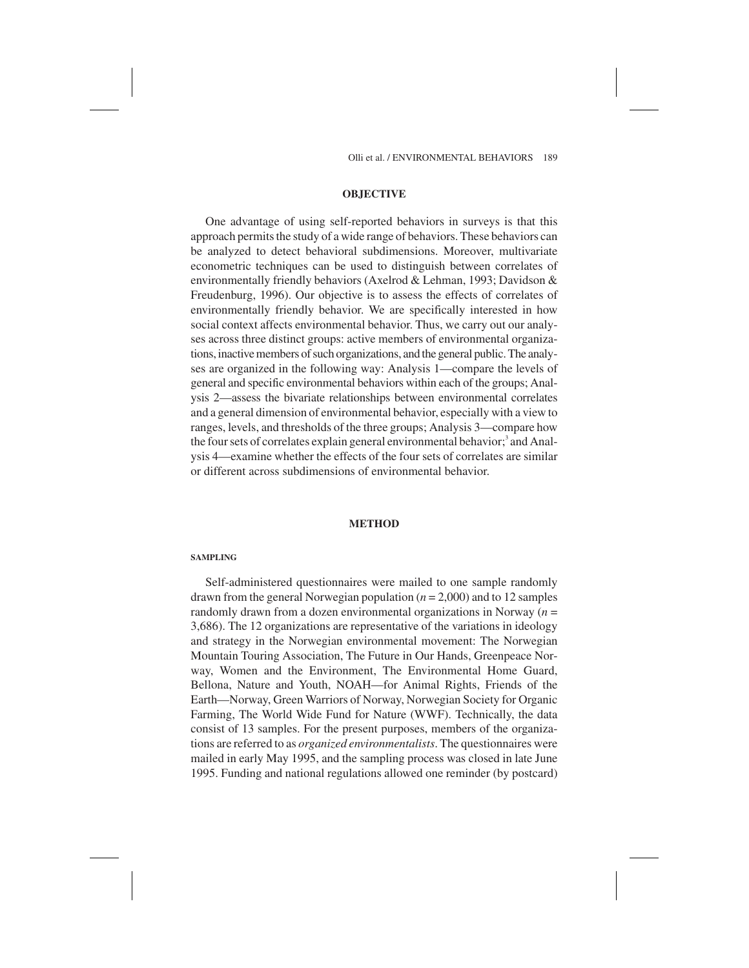Olli et al. / ENVIRONMENTAL BEHAVIORS 189

## **OBJECTIVE**

One advantage of using self-reported behaviors in surveys is that this approach permits the study of a wide range of behaviors. These behaviors can be analyzed to detect behavioral subdimensions. Moreover, multivariate econometric techniques can be used to distinguish between correlates of environmentally friendly behaviors (Axelrod & Lehman, 1993; Davidson & Freudenburg, 1996). Our objective is to assess the effects of correlates of environmentally friendly behavior. We are specifically interested in how social context affects environmental behavior. Thus, we carry out our analyses across three distinct groups: active members of environmental organizations, inactive members of such organizations, and the general public. The analyses are organized in the following way: Analysis 1—compare the levels of general and specific environmental behaviors within each of the groups; Analysis 2—assess the bivariate relationships between environmental correlates and a general dimension of environmental behavior, especially with a view to ranges, levels, and thresholds of the three groups; Analysis 3—compare how the four sets of correlates explain general environmental behavior;<sup>3</sup> and Analysis 4—examine whether the effects of the four sets of correlates are similar or different across subdimensions of environmental behavior.

### **METHOD**

#### **SAMPLING**

Self-administered questionnaires were mailed to one sample randomly drawn from the general Norwegian population (*n* = 2,000) and to 12 samples randomly drawn from a dozen environmental organizations in Norway (*n* = 3,686). The 12 organizations are representative of the variations in ideology and strategy in the Norwegian environmental movement: The Norwegian Mountain Touring Association, The Future in Our Hands, Greenpeace Norway, Women and the Environment, The Environmental Home Guard, Bellona, Nature and Youth, NOAH—for Animal Rights, Friends of the Earth—Norway, Green Warriors of Norway, Norwegian Society for Organic Farming, The World Wide Fund for Nature (WWF). Technically, the data consist of 13 samples. For the present purposes, members of the organizations are referred to as *organized environmentalists*. The questionnaires were mailed in early May 1995, and the sampling process was closed in late June 1995. Funding and national regulations allowed one reminder (by postcard)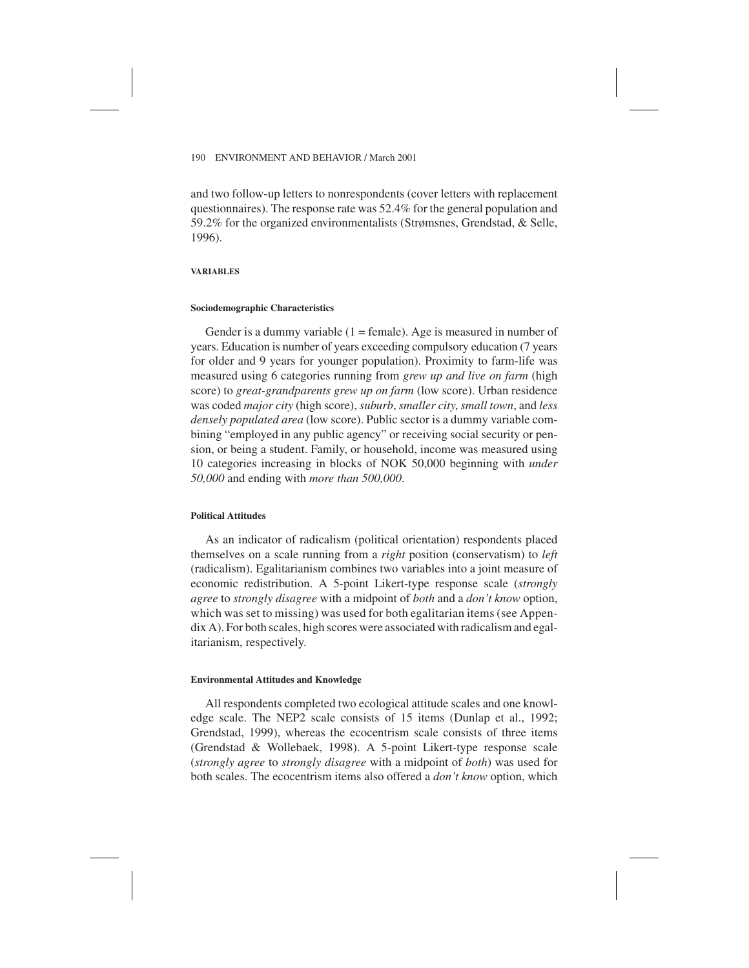and two follow-up letters to nonrespondents (cover letters with replacement questionnaires). The response rate was 52.4% for the general population and 59.2% for the organized environmentalists (Strømsnes, Grendstad, & Selle, 1996).

## **VARIABLES**

#### **Sociodemographic Characteristics**

Gender is a dummy variable  $(1 = \text{female})$ . Age is measured in number of years. Education is number of years exceeding compulsory education (7 years for older and 9 years for younger population). Proximity to farm-life was measured using 6 categories running from *grew up and live on farm* (high score) to *great-grandparents grew up on farm* (low score). Urban residence was coded *major city* (high score), *suburb*, *smaller city*, *small town*, and *less densely populated area* (low score). Public sector is a dummy variable combining "employed in any public agency" or receiving social security or pension, or being a student. Family, or household, income was measured using 10 categories increasing in blocks of NOK 50,000 beginning with *under 50,000* and ending with *more than 500,000*.

## **Political Attitudes**

As an indicator of radicalism (political orientation) respondents placed themselves on a scale running from a *right* position (conservatism) to *left* (radicalism). Egalitarianism combines two variables into a joint measure of economic redistribution. A 5-point Likert-type response scale (*strongly agree* to *strongly disagree* with a midpoint of *both* and a *don't know* option, which was set to missing) was used for both egalitarian items (see Appendix A). For both scales, high scores were associated with radicalism and egalitarianism, respectively.

#### **Environmental Attitudes and Knowledge**

All respondents completed two ecological attitude scales and one knowledge scale. The NEP2 scale consists of 15 items (Dunlap et al., 1992; Grendstad, 1999), whereas the ecocentrism scale consists of three items (Grendstad & Wollebaek, 1998). A 5-point Likert-type response scale (*strongly agree* to *strongly disagree* with a midpoint of *both*) was used for both scales. The ecocentrism items also offered a *don't know* option, which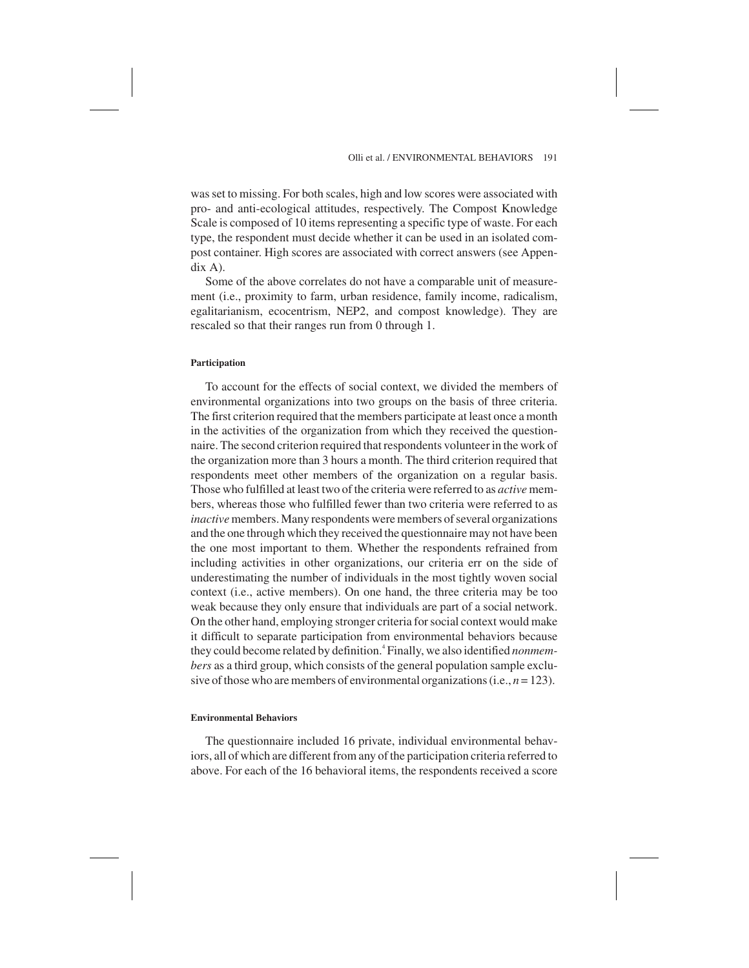was set to missing. For both scales, high and low scores were associated with pro- and anti-ecological attitudes, respectively. The Compost Knowledge Scale is composed of 10 items representing a specific type of waste. For each type, the respondent must decide whether it can be used in an isolated compost container. High scores are associated with correct answers (see Appendix A).

Some of the above correlates do not have a comparable unit of measurement (i.e., proximity to farm, urban residence, family income, radicalism, egalitarianism, ecocentrism, NEP2, and compost knowledge). They are rescaled so that their ranges run from 0 through 1.

#### **Participation**

To account for the effects of social context, we divided the members of environmental organizations into two groups on the basis of three criteria. The first criterion required that the members participate at least once a month in the activities of the organization from which they received the questionnaire. The second criterion required that respondents volunteer in the work of the organization more than 3 hours a month. The third criterion required that respondents meet other members of the organization on a regular basis. Those who fulfilled at least two of the criteria were referred to as *active* members, whereas those who fulfilled fewer than two criteria were referred to as *inactive* members. Many respondents were members of several organizations and the one through which they received the questionnaire may not have been the one most important to them. Whether the respondents refrained from including activities in other organizations, our criteria err on the side of underestimating the number of individuals in the most tightly woven social context (i.e., active members). On one hand, the three criteria may be too weak because they only ensure that individuals are part of a social network. On the other hand, employing stronger criteria for social context would make it difficult to separate participation from environmental behaviors because they could become related by definition.4 Finally, we also identified *nonmembers* as a third group, which consists of the general population sample exclusive of those who are members of environmental organizations (i.e., *n* = 123).

## **Environmental Behaviors**

The questionnaire included 16 private, individual environmental behaviors, all of which are different from any of the participation criteria referred to above. For each of the 16 behavioral items, the respondents received a score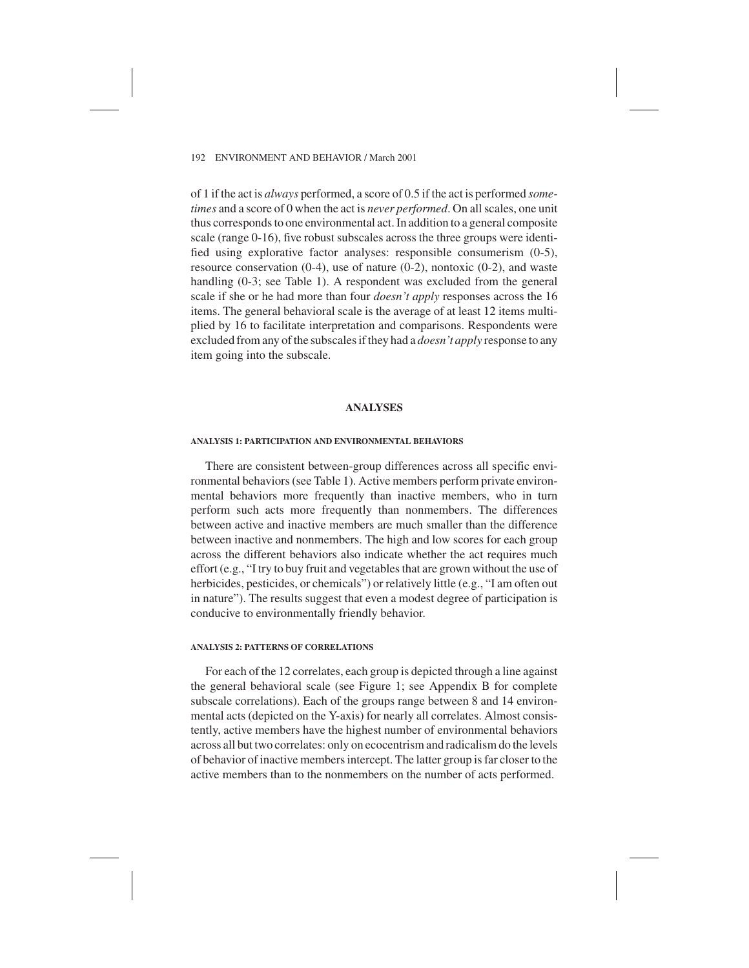of 1 if the act is *always* performed, a score of 0.5 if the act is performed *sometimes* and a score of 0 when the act is *never performed*. On all scales, one unit thus corresponds to one environmental act. In addition to a general composite scale (range 0-16), five robust subscales across the three groups were identified using explorative factor analyses: responsible consumerism (0-5), resource conservation (0-4), use of nature (0-2), nontoxic (0-2), and waste handling (0-3; see Table 1). A respondent was excluded from the general scale if she or he had more than four *doesn't apply* responses across the 16 items. The general behavioral scale is the average of at least 12 items multiplied by 16 to facilitate interpretation and comparisons. Respondents were excluded from any of the subscales if they had a *doesn't apply* response to any item going into the subscale.

## **ANALYSES**

#### **ANALYSIS 1: PARTICIPATION AND ENVIRONMENTAL BEHAVIORS**

There are consistent between-group differences across all specific environmental behaviors (see Table 1). Active members perform private environmental behaviors more frequently than inactive members, who in turn perform such acts more frequently than nonmembers. The differences between active and inactive members are much smaller than the difference between inactive and nonmembers. The high and low scores for each group across the different behaviors also indicate whether the act requires much effort (e.g., "I try to buy fruit and vegetables that are grown without the use of herbicides, pesticides, or chemicals") or relatively little (e.g., "I am often out in nature"). The results suggest that even a modest degree of participation is conducive to environmentally friendly behavior.

# **ANALYSIS 2: PATTERNS OF CORRELATIONS**

For each of the 12 correlates, each group is depicted through a line against the general behavioral scale (see Figure 1; see Appendix B for complete subscale correlations). Each of the groups range between 8 and 14 environmental acts (depicted on the Y-axis) for nearly all correlates. Almost consistently, active members have the highest number of environmental behaviors across all but two correlates: only on ecocentrism and radicalism do the levels of behavior of inactive members intercept. The latter group is far closer to the active members than to the nonmembers on the number of acts performed.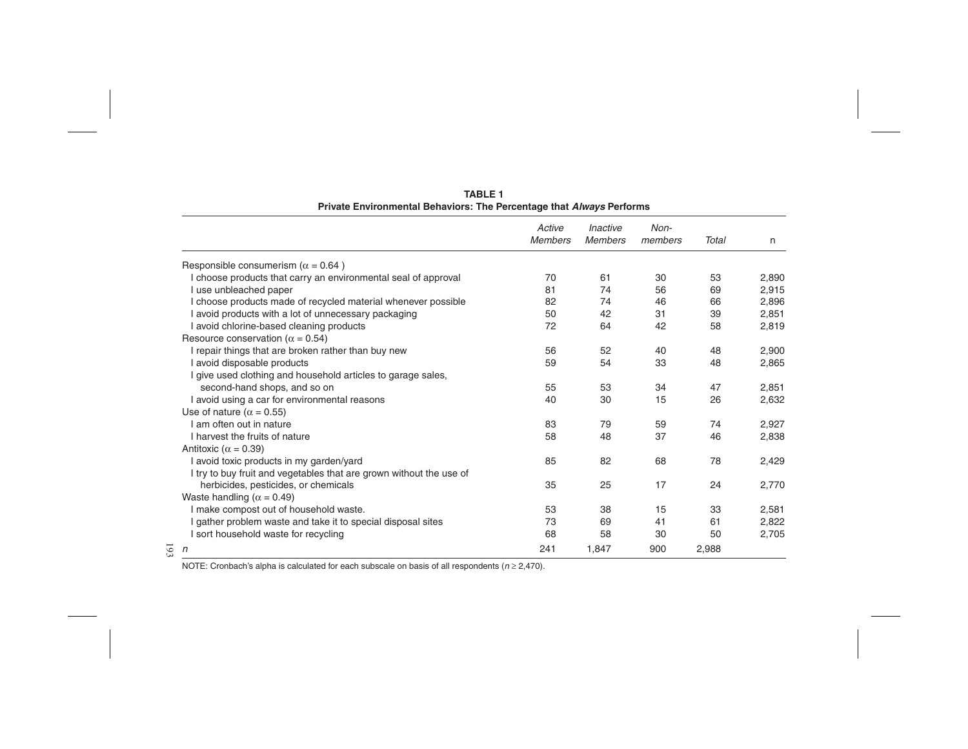|                                                                     | Active<br><b>Members</b> | Inactive<br><b>Members</b> | Non-<br>members | <b>Total</b> | n     |
|---------------------------------------------------------------------|--------------------------|----------------------------|-----------------|--------------|-------|
| Responsible consumerism ( $\alpha$ = 0.64)                          |                          |                            |                 |              |       |
| I choose products that carry an environmental seal of approval      | 70                       | 61                         | 30              | 53           | 2,890 |
| I use unbleached paper                                              | 81                       | 74                         | 56              | 69           | 2,915 |
| I choose products made of recycled material whenever possible       | 82                       | 74                         | 46              | 66           | 2,896 |
| I avoid products with a lot of unnecessary packaging                | 50                       | 42                         | 31              | 39           | 2,851 |
| I avoid chlorine-based cleaning products                            | 72                       | 64                         | 42              | 58           | 2,819 |
| Resource conservation ( $\alpha$ = 0.54)                            |                          |                            |                 |              |       |
| I repair things that are broken rather than buy new                 | 56                       | 52                         | 40              | 48           | 2,900 |
| I avoid disposable products                                         | 59                       | 54                         | 33              | 48           | 2,865 |
| I give used clothing and household articles to garage sales,        |                          |                            |                 |              |       |
| second-hand shops, and so on                                        | 55                       | 53                         | 34              | 47           | 2,851 |
| I avoid using a car for environmental reasons                       | 40                       | 30                         | 15              | 26           | 2,632 |
| Use of nature ( $\alpha$ = 0.55)                                    |                          |                            |                 |              |       |
| I am often out in nature                                            | 83                       | 79                         | 59              | 74           | 2,927 |
| I harvest the fruits of nature                                      | 58                       | 48                         | 37              | 46           | 2,838 |
| Antitoxic ( $\alpha$ = 0.39)                                        |                          |                            |                 |              |       |
| I avoid toxic products in my garden/yard                            | 85                       | 82                         | 68              | 78           | 2,429 |
| I try to buy fruit and vegetables that are grown without the use of |                          |                            |                 |              |       |
| herbicides, pesticides, or chemicals                                | 35                       | 25                         | 17              | 24           | 2,770 |
| Waste handling ( $\alpha$ = 0.49)                                   |                          |                            |                 |              |       |
| I make compost out of household waste.                              | 53                       | 38                         | 15              | 33           | 2,581 |
| I gather problem waste and take it to special disposal sites        | 73                       | 69                         | 41              | 61           | 2,822 |
| I sort household waste for recycling                                | 68                       | 58                         | 30              | 50           | 2,705 |
| $\sqrt{n}$                                                          | 241                      | 1,847                      | 900             | 2,988        |       |

**TABLE 1 Private Environmental Behaviors: The Percentage that Always Performs**

NOTE: Cronbach's alpha is calculated for each subscale on basis of all respondents ( $n \ge 2,470$ ).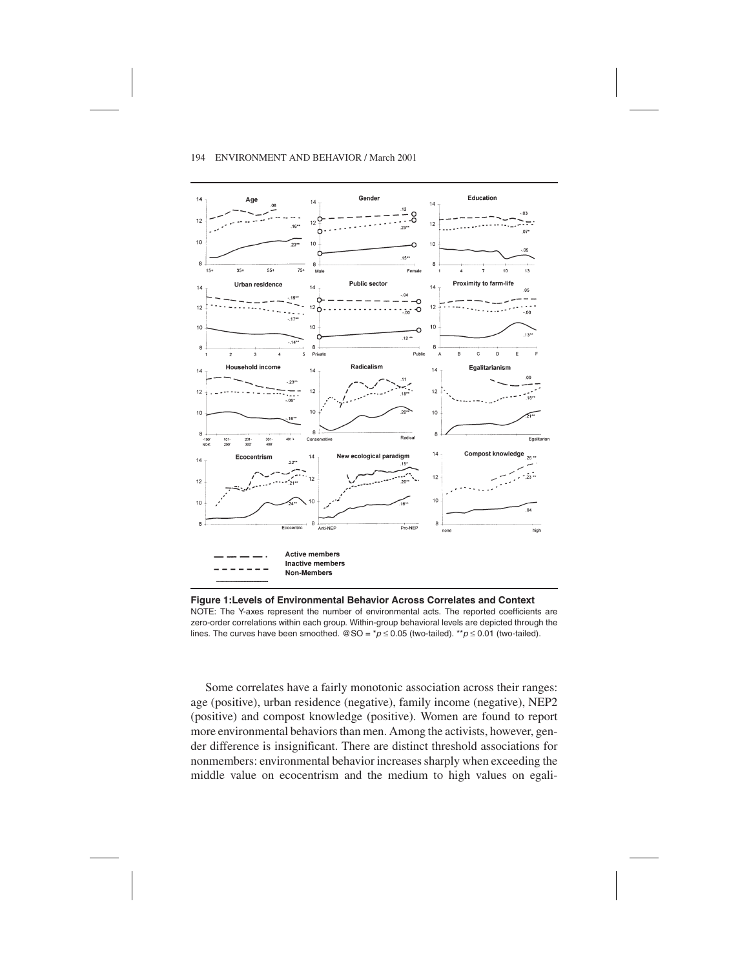

**Figure 1:Levels of Environmental Behavior Across Correlates and Context** NOTE: The Y-axes represent the number of environmental acts. The reported coefficients are zero-order correlations within each group. Within-group behavioral levels are depicted through the lines. The curves have been smoothed. @SO =  $\gamma p \le 0.05$  (two-tailed). \*\* $p \le 0.01$  (two-tailed).

Some correlates have a fairly monotonic association across their ranges: age (positive), urban residence (negative), family income (negative), NEP2 (positive) and compost knowledge (positive). Women are found to report more environmental behaviors than men. Among the activists, however, gender difference is insignificant. There are distinct threshold associations for nonmembers: environmental behavior increases sharply when exceeding the middle value on ecocentrism and the medium to high values on egali-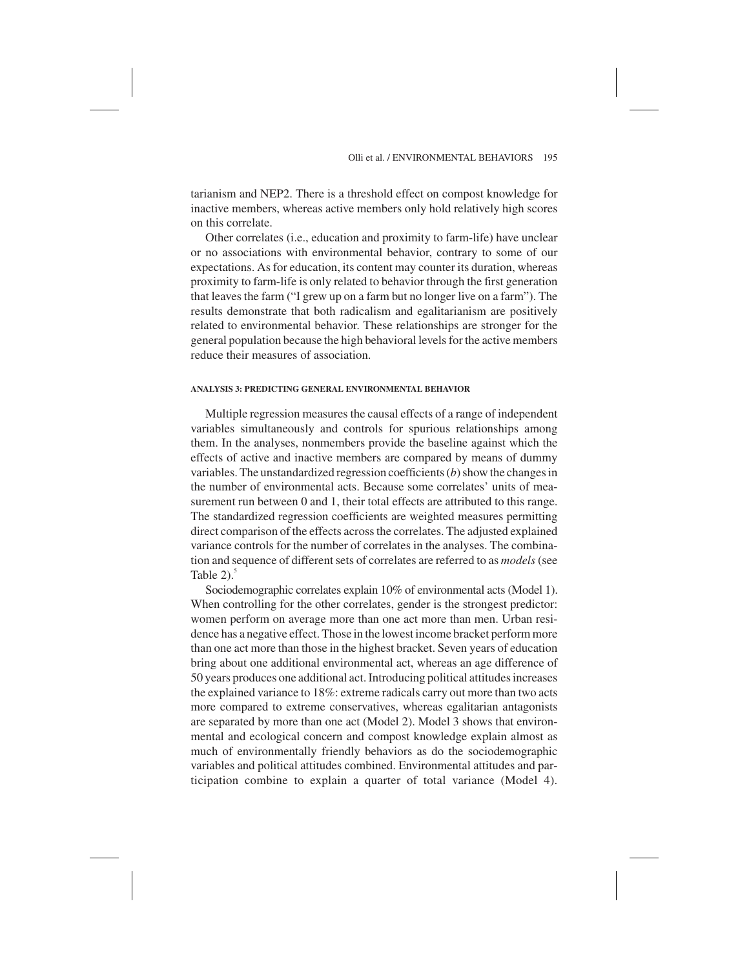tarianism and NEP2. There is a threshold effect on compost knowledge for inactive members, whereas active members only hold relatively high scores on this correlate.

Other correlates (i.e., education and proximity to farm-life) have unclear or no associations with environmental behavior, contrary to some of our expectations. As for education, its content may counter its duration, whereas proximity to farm-life is only related to behavior through the first generation that leaves the farm ("I grew up on a farm but no longer live on a farm"). The results demonstrate that both radicalism and egalitarianism are positively related to environmental behavior. These relationships are stronger for the general population because the high behavioral levels for the active members reduce their measures of association.

## **ANALYSIS 3: PREDICTING GENERAL ENVIRONMENTAL BEHAVIOR**

Multiple regression measures the causal effects of a range of independent variables simultaneously and controls for spurious relationships among them. In the analyses, nonmembers provide the baseline against which the effects of active and inactive members are compared by means of dummy variables. The unstandardized regression coefficients (*b*) show the changes in the number of environmental acts. Because some correlates' units of measurement run between 0 and 1, their total effects are attributed to this range. The standardized regression coefficients are weighted measures permitting direct comparison of the effects across the correlates. The adjusted explained variance controls for the number of correlates in the analyses. The combination and sequence of different sets of correlates are referred to as *models*(see Table  $2)$ .<sup>5</sup>

Sociodemographic correlates explain 10% of environmental acts (Model 1). When controlling for the other correlates, gender is the strongest predictor: women perform on average more than one act more than men. Urban residence has a negative effect. Those in the lowest income bracket perform more than one act more than those in the highest bracket. Seven years of education bring about one additional environmental act, whereas an age difference of 50 years produces one additional act. Introducing political attitudes increases the explained variance to 18%: extreme radicals carry out more than two acts more compared to extreme conservatives, whereas egalitarian antagonists are separated by more than one act (Model 2). Model 3 shows that environmental and ecological concern and compost knowledge explain almost as much of environmentally friendly behaviors as do the sociodemographic variables and political attitudes combined. Environmental attitudes and participation combine to explain a quarter of total variance (Model 4).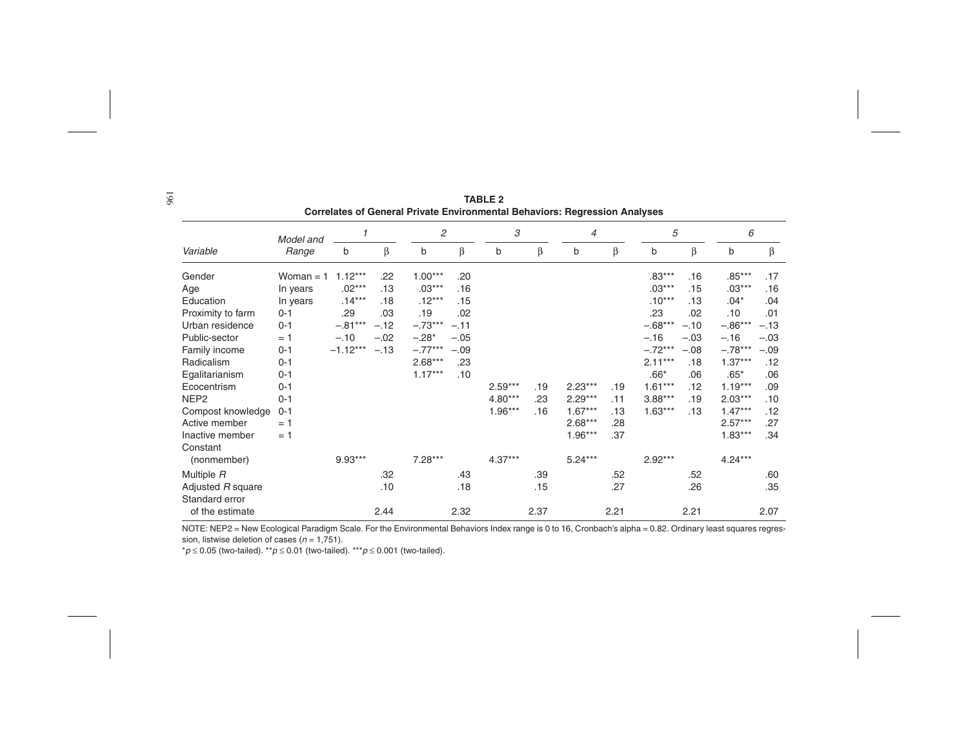|                                     | Model and   | 1          |        | $\overline{c}$ |        | 3         |      | $\overline{4}$ |      | 5         |        | 6         |        |
|-------------------------------------|-------------|------------|--------|----------------|--------|-----------|------|----------------|------|-----------|--------|-----------|--------|
| Variable                            | Range       | b          | β      | b              | β      | b         | β    | b              | β    | b         | β      | b         | β      |
| Gender                              | Woman $= 1$ | $1.12***$  | .22    | $1.00***$      | .20    |           |      |                |      | $.83***$  | .16    | $.85***$  | .17    |
| Age                                 | In years    | $.02***$   | .13    | $.03***$       | .16    |           |      |                |      | $.03***$  | .15    | $.03***$  | .16    |
| Education                           | In years    | $.14***$   | .18    | $.12***$       | .15    |           |      |                |      | $.10***$  | .13    | $.04*$    | .04    |
| Proximity to farm                   | $0 - 1$     | .29        | .03    | .19            | .02    |           |      |                |      | .23       | .02    | .10       | .01    |
| Urban residence                     | $0 - 1$     | $-.81***$  | $-.12$ | $-.73***$      | $-.11$ |           |      |                |      | $-.68***$ | $-.10$ | $-.86***$ | $-.13$ |
| Public-sector                       | $= 1$       | $-.10$     | $-.02$ | $-.28*$        | $-.05$ |           |      |                |      | $-.16$    | $-.03$ | $-.16$    | $-.03$ |
| Family income                       | $0 - 1$     | $-1.12***$ | $-.13$ | $-.77***$      | $-.09$ |           |      |                |      | $-.72***$ | $-.08$ | $-.78***$ | $-.09$ |
| Radicalism                          | $0 - 1$     |            |        | $2.68***$      | .23    |           |      |                |      | $2.11***$ | .18    | $1.37***$ | .12    |
| Egalitarianism                      | $0 - 1$     |            |        | $1.17***$      | .10    |           |      |                |      | $.66*$    | .06    | $.65*$    | .06    |
| Ecocentrism                         | $0 - 1$     |            |        |                |        | $2.59***$ | .19  | $2.23***$      | .19  | $1.61***$ | .12    | $1.19***$ | .09    |
| NEP <sub>2</sub>                    | $0 - 1$     |            |        |                |        | $4.80***$ | .23  | $2.29***$      | .11  | $3.88***$ | .19    | $2.03***$ | .10    |
| Compost knowledge                   | $0 - 1$     |            |        |                |        | $1.96***$ | .16  | $1.67***$      | .13  | $1.63***$ | .13    | $1.47***$ | .12    |
| Active member                       | $= 1$       |            |        |                |        |           |      | $2.68***$      | .28  |           |        | $2.57***$ | .27    |
| Inactive member                     | $= 1$       |            |        |                |        |           |      | $1.96***$      | .37  |           |        | $1.83***$ | .34    |
| Constant                            |             |            |        |                |        |           |      |                |      |           |        |           |        |
| (nonmember)                         |             | $9.93***$  |        | $7.28***$      |        | $4.37***$ |      | $5.24***$      |      | $2.92***$ |        | $4.24***$ |        |
| Multiple R                          |             |            | .32    |                | .43    |           | .39  |                | .52  |           | .52    |           | .60    |
| Adjusted R square<br>Standard error |             |            | .10    |                | .18    |           | .15  |                | .27  |           | .26    |           | .35    |
| of the estimate                     |             |            | 2.44   |                | 2.32   |           | 2.37 |                | 2.21 |           | 2.21   |           | 2.07   |

**TABLE 2Correlates of General Private Environmental Behaviors: Regression Analyses**

NOTE: NEP2 <sup>=</sup> New Ecological Paradigm Scale. For the Environmental Behaviors Index range is 0 to 16, Cronbach's alpha <sup>=</sup> 0.82. Ordinary least squares regression, listwise deletion of cases ( $n = 1,751$ ).

 $p \leq 0.05$  (two-tailed). \*\* $p \leq 0.01$  (two-tailed). \*\*\* $p \leq 0.001$  (two-tailed).

196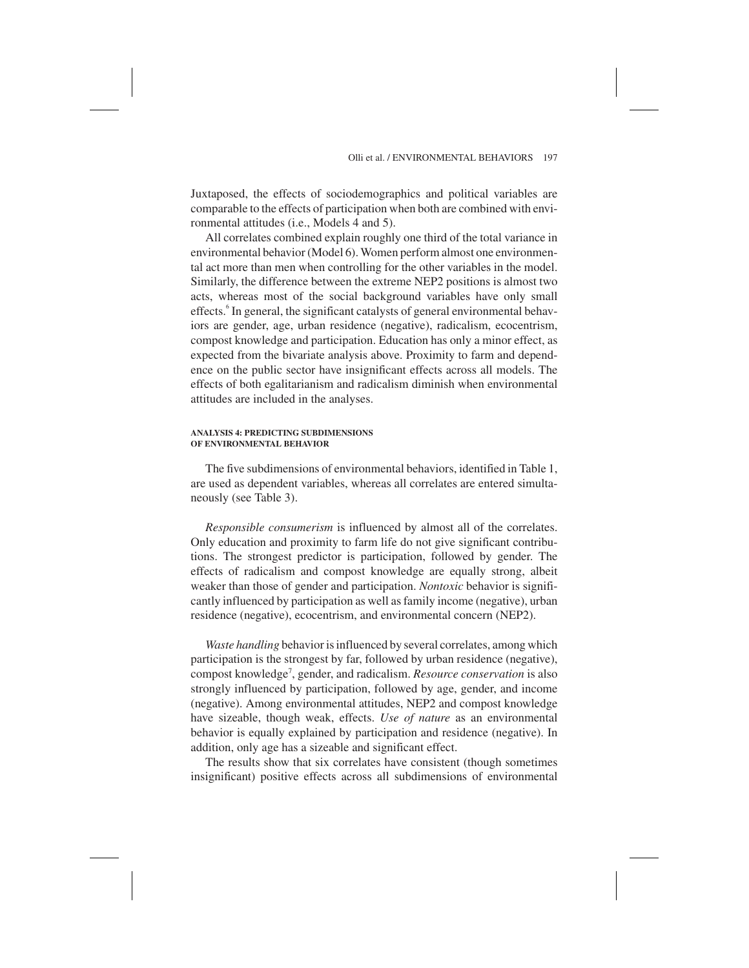Juxtaposed, the effects of sociodemographics and political variables are comparable to the effects of participation when both are combined with environmental attitudes (i.e., Models 4 and 5).

All correlates combined explain roughly one third of the total variance in environmental behavior (Model 6). Women perform almost one environmental act more than men when controlling for the other variables in the model. Similarly, the difference between the extreme NEP2 positions is almost two acts, whereas most of the social background variables have only small effects.<sup>6</sup> In general, the significant catalysts of general environmental behaviors are gender, age, urban residence (negative), radicalism, ecocentrism, compost knowledge and participation. Education has only a minor effect, as expected from the bivariate analysis above. Proximity to farm and dependence on the public sector have insignificant effects across all models. The effects of both egalitarianism and radicalism diminish when environmental attitudes are included in the analyses.

#### **ANALYSIS 4: PREDICTING SUBDIMENSIONS OF ENVIRONMENTAL BEHAVIOR**

The five subdimensions of environmental behaviors, identified in Table 1, are used as dependent variables, whereas all correlates are entered simultaneously (see Table 3).

*Responsible consumerism* is influenced by almost all of the correlates. Only education and proximity to farm life do not give significant contributions. The strongest predictor is participation, followed by gender. The effects of radicalism and compost knowledge are equally strong, albeit weaker than those of gender and participation. *Nontoxic* behavior is significantly influenced by participation as well as family income (negative), urban residence (negative), ecocentrism, and environmental concern (NEP2).

*Waste handling* behavior is influenced by several correlates, among which participation is the strongest by far, followed by urban residence (negative), compost knowledge7 , gender, and radicalism. *Resource conservation* is also strongly influenced by participation, followed by age, gender, and income (negative). Among environmental attitudes, NEP2 and compost knowledge have sizeable, though weak, effects. *Use of nature* as an environmental behavior is equally explained by participation and residence (negative). In addition, only age has a sizeable and significant effect.

The results show that six correlates have consistent (though sometimes insignificant) positive effects across all subdimensions of environmental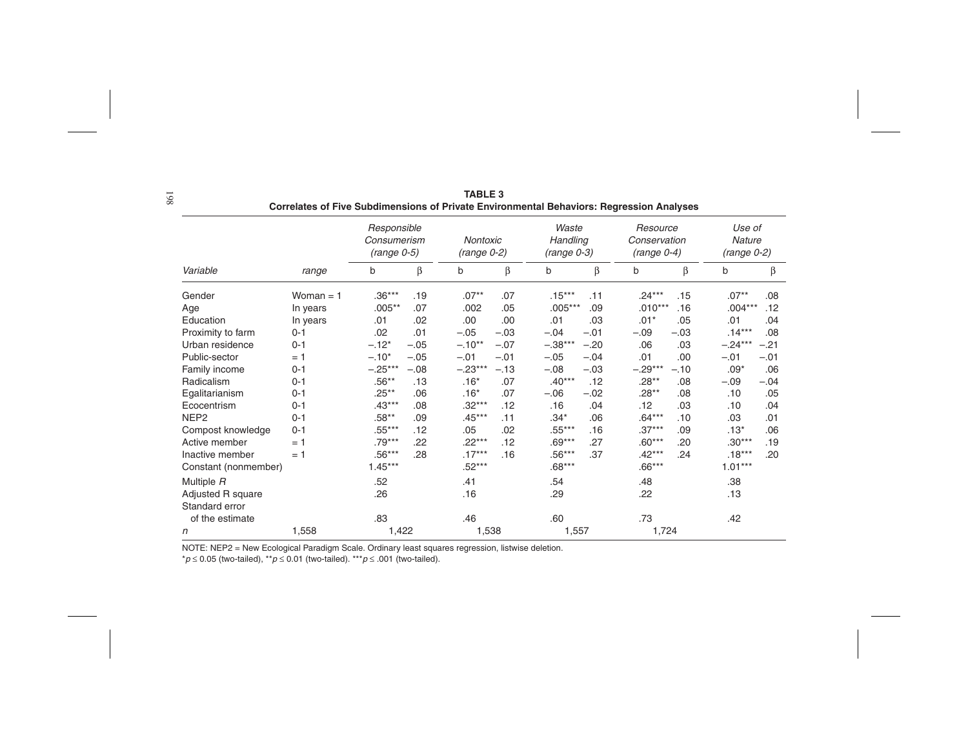|                                     |             |                                             |        | 000 - 000 - 000           |         |                                    |        | Environmental Benaviole, riegi ession Analyses |        |                                   |        |
|-------------------------------------|-------------|---------------------------------------------|--------|---------------------------|---------|------------------------------------|--------|------------------------------------------------|--------|-----------------------------------|--------|
|                                     |             | Responsible<br>Consumerism<br>$(range 0-5)$ |        | Nontoxic<br>$(range 0-2)$ |         | Waste<br>Handling<br>$(range 0-3)$ |        | Resource<br>Conservation<br>$(range 0-4)$      |        | Use of<br>Nature<br>$(range 0-2)$ |        |
| Variable                            | range       | b                                           | β      | b                         | $\beta$ | b                                  | β      | b                                              | β      | b                                 | β      |
| Gender                              | Woman $=$ 1 | $.36***$                                    | .19    | $.07**$                   | .07     | $.15***$                           | .11    | $.24***$                                       | .15    | $.07**$                           | .08    |
| Age                                 | In years    | $.005***$                                   | .07    | .002                      | .05     | $.005***$                          | .09    | $.010***$                                      | .16    | $.004***$                         | .12    |
| Education                           | In years    | .01                                         | .02    | .00                       | .00     | .01                                | .03    | $.01*$                                         | .05    | .01                               | .04    |
| Proximity to farm                   | $0 - 1$     | .02                                         | .01    | $-.05$                    | $-.03$  | $-.04$                             | $-.01$ | $-.09$                                         | $-.03$ | $.14***$                          | .08    |
| Urban residence                     | $0 - 1$     | $-.12*$                                     | $-.05$ | $-.10**$                  | $-.07$  | $-.38***$                          | $-.20$ | .06                                            | .03    | $-.24***$                         | $-.21$ |
| Public-sector                       | $= 1$       | $-.10*$                                     | $-.05$ | $-.01$                    | $-.01$  | $-.05$                             | $-.04$ | .01                                            | .00    | $-.01$                            | $-.01$ |
| Family income                       | $0 - 1$     | $-.25***$                                   | $-.08$ | $-.23***$                 | $-.13$  | $-.08$                             | $-.03$ | $-.29***$                                      | $-.10$ | $.09*$                            | .06    |
| Radicalism                          | $0 - 1$     | $.56**$                                     | .13    | $.16*$                    | .07     | $.40***$                           | .12    | $.28**$                                        | .08    | $-.09$                            | $-.04$ |
| Egalitarianism                      | $0 - 1$     | $.25**$                                     | .06    | $.16*$                    | .07     | $-.06$                             | $-.02$ | $.28**$                                        | .08    | .10                               | .05    |
| Ecocentrism                         | $0 - 1$     | $.43***$                                    | .08    | $.32***$                  | .12     | .16                                | .04    | .12                                            | .03    | .10                               | .04    |
| NEP <sub>2</sub>                    | $0 - 1$     | $.58**$                                     | .09    | $.45***$                  | .11     | $.34*$                             | .06    | $.64***$                                       | .10    | .03                               | .01    |
| Compost knowledge                   | $0 - 1$     | $.55***$                                    | .12    | .05                       | .02     | $.55***$                           | .16    | $.37***$                                       | .09    | $.13*$                            | .06    |
| Active member                       | $= 1$       | $.79***$                                    | .22    | $.22***$                  | .12     | $.69***$                           | .27    | $.60***$                                       | .20    | $.30***$                          | .19    |
| Inactive member                     | $= 1$       | $.56***$                                    | .28    | $.17***$                  | .16     | $.56***$                           | .37    | $.42***$                                       | .24    | $.18***$                          | .20    |
| Constant (nonmember)                |             | $1.45***$                                   |        | $.52***$                  |         | $.68***$                           |        | $.66***$                                       |        | $1.01***$                         |        |
| Multiple R                          |             | .52                                         |        | .41                       |         | .54                                |        | .48                                            |        | .38                               |        |
| Adjusted R square<br>Standard error |             | .26                                         |        | .16                       |         | .29                                |        | .22                                            |        | .13                               |        |
| of the estimate                     |             | .83                                         |        | .46                       |         | .60                                |        | .73                                            |        | .42                               |        |
| n                                   | 1,558       | 1,422                                       |        | 1,538                     |         | 1,557                              |        | 1,724                                          |        |                                   |        |

**TABLE 3Correlates of Five Subdimensions of Private Environmental Behaviors: Regression Analyses**

NOTE: NEP2 = New Ecological Paradigm Scale. Ordinary least squares regression, listwise deletion.

 $^{\star}p$  ≤ 0.05 (two-tailed),  $^{\star\star}p$  ≤ 0.01 (two-tailed).  $^{\star\star\star}p$  ≤ .001 (two-tailed).

198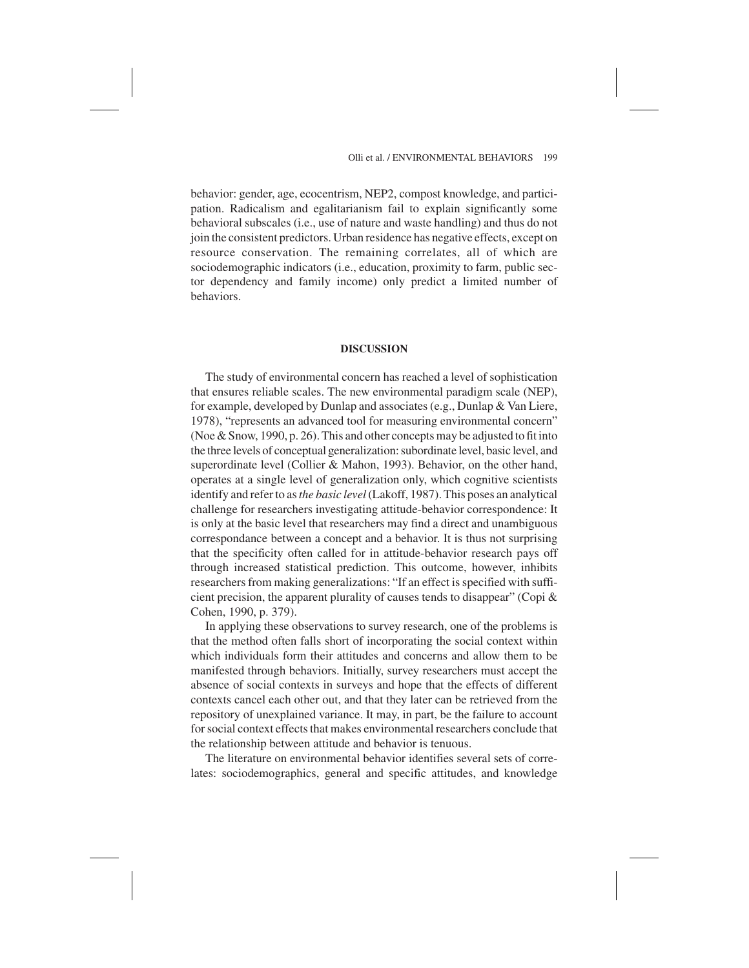behavior: gender, age, ecocentrism, NEP2, compost knowledge, and participation. Radicalism and egalitarianism fail to explain significantly some behavioral subscales (i.e., use of nature and waste handling) and thus do not join the consistent predictors. Urban residence has negative effects, except on resource conservation. The remaining correlates, all of which are sociodemographic indicators (i.e., education, proximity to farm, public sector dependency and family income) only predict a limited number of behaviors.

# **DISCUSSION**

The study of environmental concern has reached a level of sophistication that ensures reliable scales. The new environmental paradigm scale (NEP), for example, developed by Dunlap and associates (e.g., Dunlap & Van Liere, 1978), "represents an advanced tool for measuring environmental concern" (Noe & Snow, 1990, p. 26). This and other concepts may be adjusted to fit into the three levels of conceptual generalization: subordinate level, basic level, and superordinate level (Collier & Mahon, 1993). Behavior, on the other hand, operates at a single level of generalization only, which cognitive scientists identify and refer to as*the basic level*(Lakoff, 1987). This poses an analytical challenge for researchers investigating attitude-behavior correspondence: It is only at the basic level that researchers may find a direct and unambiguous correspondance between a concept and a behavior. It is thus not surprising that the specificity often called for in attitude-behavior research pays off through increased statistical prediction. This outcome, however, inhibits researchers from making generalizations: "If an effect is specified with sufficient precision, the apparent plurality of causes tends to disappear" (Copi & Cohen, 1990, p. 379).

In applying these observations to survey research, one of the problems is that the method often falls short of incorporating the social context within which individuals form their attitudes and concerns and allow them to be manifested through behaviors. Initially, survey researchers must accept the absence of social contexts in surveys and hope that the effects of different contexts cancel each other out, and that they later can be retrieved from the repository of unexplained variance. It may, in part, be the failure to account for social context effects that makes environmental researchers conclude that the relationship between attitude and behavior is tenuous.

The literature on environmental behavior identifies several sets of correlates: sociodemographics, general and specific attitudes, and knowledge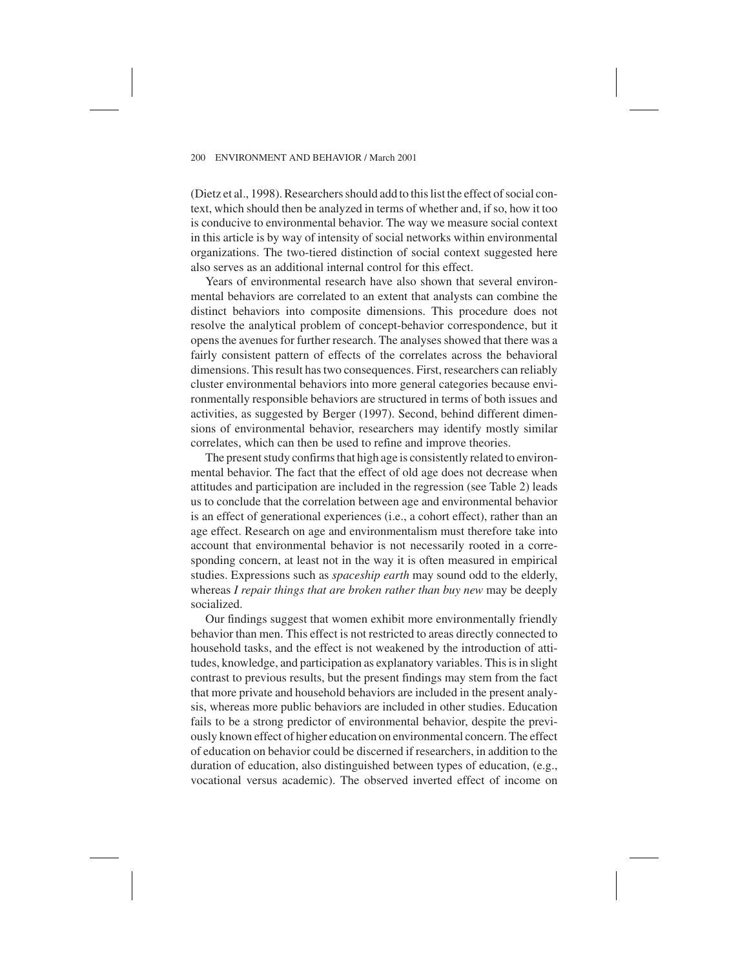(Dietz et al., 1998). Researchers should add to this list the effect of social context, which should then be analyzed in terms of whether and, if so, how it too is conducive to environmental behavior. The way we measure social context in this article is by way of intensity of social networks within environmental organizations. The two-tiered distinction of social context suggested here also serves as an additional internal control for this effect.

Years of environmental research have also shown that several environmental behaviors are correlated to an extent that analysts can combine the distinct behaviors into composite dimensions. This procedure does not resolve the analytical problem of concept-behavior correspondence, but it opens the avenues for further research. The analyses showed that there was a fairly consistent pattern of effects of the correlates across the behavioral dimensions. This result has two consequences. First, researchers can reliably cluster environmental behaviors into more general categories because environmentally responsible behaviors are structured in terms of both issues and activities, as suggested by Berger (1997). Second, behind different dimensions of environmental behavior, researchers may identify mostly similar correlates, which can then be used to refine and improve theories.

The present study confirms that high age is consistently related to environmental behavior. The fact that the effect of old age does not decrease when attitudes and participation are included in the regression (see Table 2) leads us to conclude that the correlation between age and environmental behavior is an effect of generational experiences (i.e., a cohort effect), rather than an age effect. Research on age and environmentalism must therefore take into account that environmental behavior is not necessarily rooted in a corresponding concern, at least not in the way it is often measured in empirical studies. Expressions such as *spaceship earth* may sound odd to the elderly, whereas *I repair things that are broken rather than buy new* may be deeply socialized.

Our findings suggest that women exhibit more environmentally friendly behavior than men. This effect is not restricted to areas directly connected to household tasks, and the effect is not weakened by the introduction of attitudes, knowledge, and participation as explanatory variables. This is in slight contrast to previous results, but the present findings may stem from the fact that more private and household behaviors are included in the present analysis, whereas more public behaviors are included in other studies. Education fails to be a strong predictor of environmental behavior, despite the previously known effect of higher education on environmental concern. The effect of education on behavior could be discerned if researchers, in addition to the duration of education, also distinguished between types of education, (e.g., vocational versus academic). The observed inverted effect of income on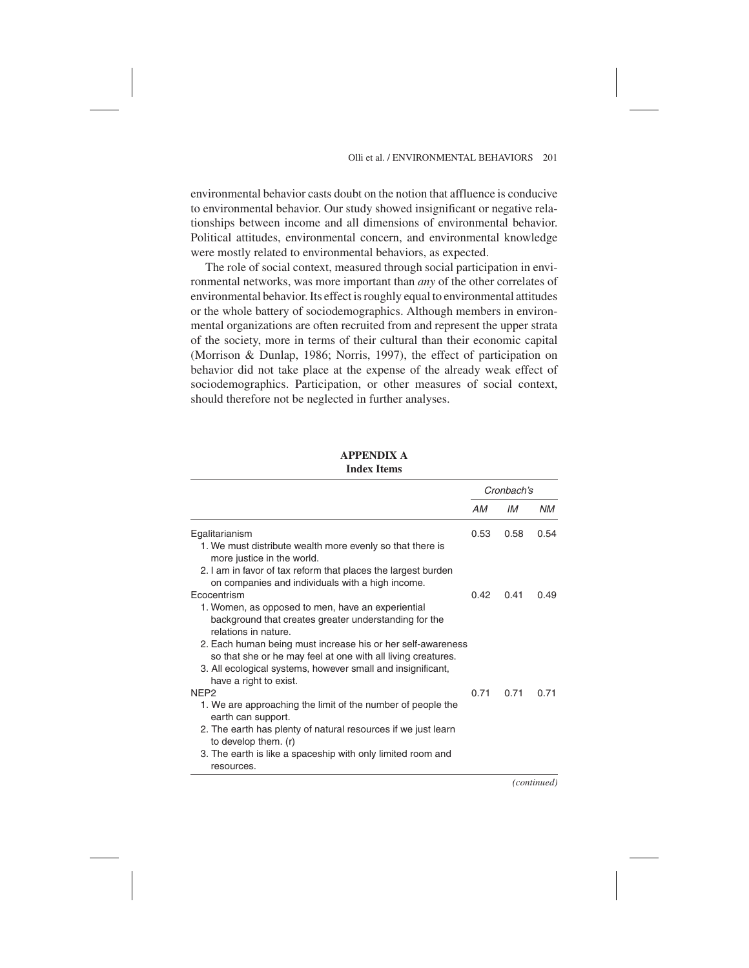environmental behavior casts doubt on the notion that affluence is conducive to environmental behavior. Our study showed insignificant or negative relationships between income and all dimensions of environmental behavior. Political attitudes, environmental concern, and environmental knowledge were mostly related to environmental behaviors, as expected.

The role of social context, measured through social participation in environmental networks, was more important than *any* of the other correlates of environmental behavior. Its effect is roughly equal to environmental attitudes or the whole battery of sociodemographics. Although members in environmental organizations are often recruited from and represent the upper strata of the society, more in terms of their cultural than their economic capital (Morrison & Dunlap, 1986; Norris, 1997), the effect of participation on behavior did not take place at the expense of the already weak effect of sociodemographics. Participation, or other measures of social context, should therefore not be neglected in further analyses.

## **APPENDIX A Index Items**

|                                                                                                                                    | Cronbach's |      |           |
|------------------------------------------------------------------------------------------------------------------------------------|------------|------|-----------|
|                                                                                                                                    | АM         | IМ   | <b>NM</b> |
| Egalitarianism                                                                                                                     | 0.53       | 0.58 | 0.54      |
| 1. We must distribute wealth more evenly so that there is<br>more justice in the world.                                            |            |      |           |
| 2. I am in favor of tax reform that places the largest burden<br>on companies and individuals with a high income.                  |            |      |           |
| Ecocentrism                                                                                                                        | 0.42       | 0.41 | 0.49      |
| 1. Women, as opposed to men, have an experiential<br>background that creates greater understanding for the<br>relations in nature. |            |      |           |
| 2. Each human being must increase his or her self-awareness<br>so that she or he may feel at one with all living creatures.        |            |      |           |
| 3. All ecological systems, however small and insignificant,<br>have a right to exist.                                              |            |      |           |
| NFP <sub>2</sub>                                                                                                                   | 0.71       | 0.71 | 0.71      |
| 1. We are approaching the limit of the number of people the<br>earth can support.                                                  |            |      |           |
| 2. The earth has plenty of natural resources if we just learn<br>to develop them. (r)                                              |            |      |           |
| 3. The earth is like a spaceship with only limited room and<br>resources.                                                          |            |      |           |

*(continued)*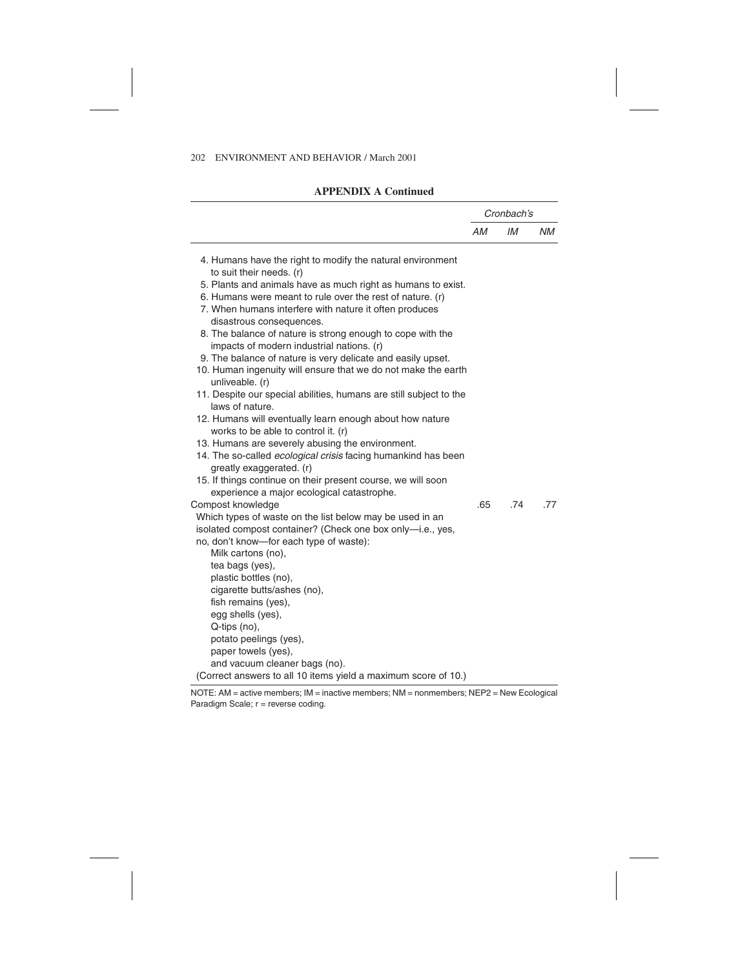# **APPENDIX A Continued**

|                                                                                       |     | Cronbach's |     |  |
|---------------------------------------------------------------------------------------|-----|------------|-----|--|
|                                                                                       | AM  | IМ         | ΝM  |  |
| 4. Humans have the right to modify the natural environment                            |     |            |     |  |
| to suit their needs. (r)                                                              |     |            |     |  |
| 5. Plants and animals have as much right as humans to exist.                          |     |            |     |  |
| 6. Humans were meant to rule over the rest of nature. (r)                             |     |            |     |  |
| 7. When humans interfere with nature it often produces                                |     |            |     |  |
| disastrous consequences.                                                              |     |            |     |  |
| 8. The balance of nature is strong enough to cope with the                            |     |            |     |  |
| impacts of modern industrial nations. (r)                                             |     |            |     |  |
| 9. The balance of nature is very delicate and easily upset.                           |     |            |     |  |
| 10. Human ingenuity will ensure that we do not make the earth                         |     |            |     |  |
| unliveable. (r)                                                                       |     |            |     |  |
| 11. Despite our special abilities, humans are still subject to the<br>laws of nature. |     |            |     |  |
| 12. Humans will eventually learn enough about how nature                              |     |            |     |  |
| works to be able to control it. (r)                                                   |     |            |     |  |
| 13. Humans are severely abusing the environment.                                      |     |            |     |  |
| 14. The so-called <i>ecological crisis</i> facing humankind has been                  |     |            |     |  |
| greatly exaggerated. (r)                                                              |     |            |     |  |
| 15. If things continue on their present course, we will soon                          |     |            |     |  |
| experience a major ecological catastrophe.                                            |     |            |     |  |
| Compost knowledge                                                                     | .65 | .74        | .77 |  |
| Which types of waste on the list below may be used in an                              |     |            |     |  |
| isolated compost container? (Check one box only-i.e., yes,                            |     |            |     |  |
| no, don't know-for each type of waste):                                               |     |            |     |  |
| Milk cartons (no),                                                                    |     |            |     |  |
| tea bags (yes),                                                                       |     |            |     |  |
| plastic bottles (no),                                                                 |     |            |     |  |
| cigarette butts/ashes (no),                                                           |     |            |     |  |
| fish remains (yes),                                                                   |     |            |     |  |
| egg shells (yes),                                                                     |     |            |     |  |
| Q-tips (no),                                                                          |     |            |     |  |
| potato peelings (yes),                                                                |     |            |     |  |
| paper towels (yes),                                                                   |     |            |     |  |
| and vacuum cleaner bags (no).                                                         |     |            |     |  |
| (Correct answers to all 10 items yield a maximum score of 10.)                        |     |            |     |  |

NOTE: AM = active members; IM = inactive members; NM = nonmembers; NEP2 = New Ecological Paradigm Scale; r = reverse coding.

 $\overline{\phantom{0}}$  $\overline{\phantom{a}}$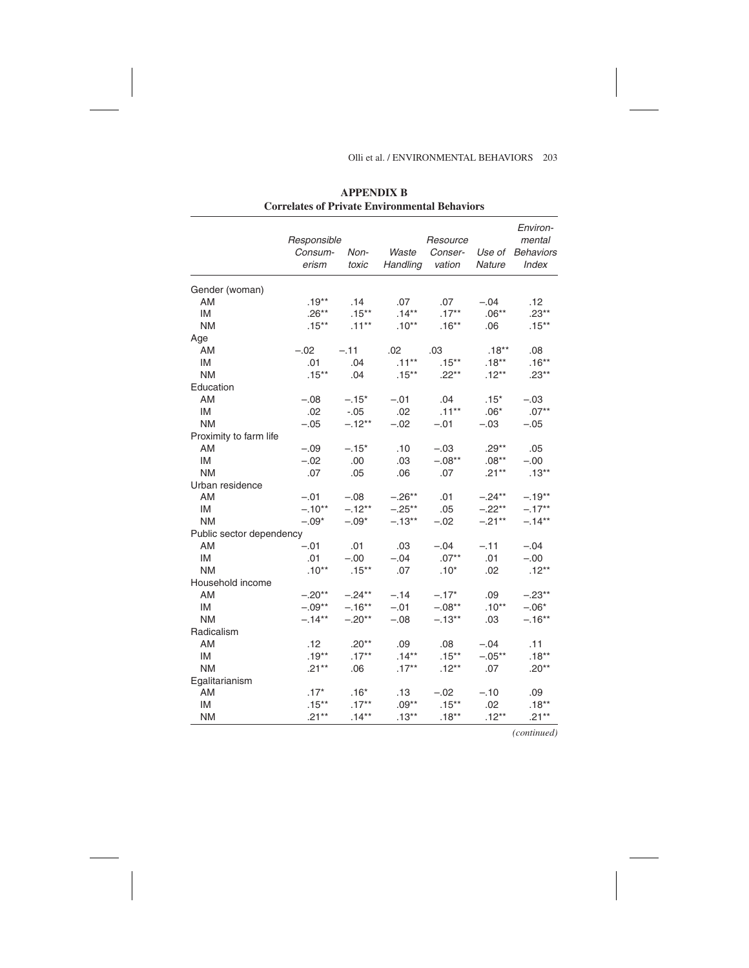# Olli et al. / ENVIRONMENTAL BEHAVIORS 203

|                          | Responsible<br>Consum- | Non-      | Waste    | Environ-<br>mental<br><b>Behaviors</b> |                  |          |
|--------------------------|------------------------|-----------|----------|----------------------------------------|------------------|----------|
|                          | erism                  | toxic     | Handling | Conser-<br>vation                      | Use of<br>Nature | Index    |
| Gender (woman)           |                        |           |          |                                        |                  |          |
| AM                       | $.19***$               | .14       | .07      | .07                                    | $-.04$           | .12      |
| IM                       | $.26**$                | $.15***$  | $.14***$ | $.17***$                               | $.06**$          | $.23**$  |
| <b>NM</b>                | $.15***$               | $.11***$  | $.10**$  | $.16***$                               | .06              | $.15***$ |
| Age                      |                        |           |          |                                        |                  |          |
| AM                       | $-.02$                 | $-.11$    | .02      | .03                                    | $.18***$         | .08      |
| IM                       | .01                    | .04       | $.11***$ | $.15***$                               | $.18**$          | $.16***$ |
| <b>NM</b>                | $.15***$               | .04       | $.15***$ | $.22***$                               | $.12***$         | $.23***$ |
| Education                |                        |           |          |                                        |                  |          |
| AM                       | $-.08$                 | $-.15*$   | $-.01$   | .04                                    | $.15*$           | $-.03$   |
| IM                       | .02                    | -.05      | .02      | $.11***$                               | $.06*$           | $.07**$  |
| <b>NM</b>                | $-.05$                 | $-.12**$  | $-.02$   | $-.01$                                 | $-.03$           | $-.05$   |
| Proximity to farm life   |                        |           |          |                                        |                  |          |
| AM                       | $-.09$                 | $-.15*$   | .10      | $-.03$                                 | $.29**$          | .05      |
| <b>IM</b>                | $-.02$                 | .00       | .03      | $-.08**$                               | $.08^{**}$       | $-.00$   |
| <b>NM</b>                | .07                    | .05       | .06      | .07                                    | $.21**$          | $.13***$ |
| Urban residence          |                        |           |          |                                        |                  |          |
| AM                       | $-.01$                 | $-.08$    | $-.26**$ | .01                                    | $-.24**$         | $-.19**$ |
| <b>IM</b>                | $-.10**$               | $-.12***$ | $-.25**$ | .05                                    | $-.22**$         | $-.17**$ |
| <b>NM</b>                | $-.09*$                | $-.09*$   | $-.13**$ | $-.02$                                 | $-.21**$         | $-.14**$ |
| Public sector dependency |                        |           |          |                                        |                  |          |
| AM                       | $-.01$                 | .01       | .03      | $-.04$                                 | $-.11$           | $-.04$   |
| IM                       | .01                    | $-.00$    | $-.04$   | $.07**$                                | .01              | $-.00$   |
| <b>NM</b>                | $.10**$                | $.15***$  | .07      | $.10*$                                 | .02              | $.12**$  |
| Household income         |                        |           |          |                                        |                  |          |
| AM                       | $-.20**$               | $-.24**$  | $-.14$   | $-.17*$                                | .09              | $-.23**$ |
| IM                       | $-.09**$               | $-.16***$ | $-.01$   | $-.08**$                               | $.10**$          | $-.06*$  |
| <b>NM</b>                | $-.14**$               | $-.20**$  | $-.08$   | $-.13***$                              | .03              | $-.16**$ |
| Radicalism               |                        |           |          |                                        |                  |          |
| AM                       | .12                    | $.20**$   | .09      | .08                                    | $-.04$           | .11      |
| <b>IM</b>                | $.19***$               | $.17***$  | $.14***$ | $.15***$                               | $-.05**$         | $.18***$ |
| <b>NM</b>                | $.21***$               | .06       | $.17***$ | $.12***$                               | .07              | $.20**$  |
| Egalitarianism           |                        |           |          |                                        |                  |          |
| AM                       | $.17*$                 | $.16*$    | .13      | $-.02$                                 | $-.10$           | .09      |
| IM                       | $.15***$               | $.17***$  | $.09**$  | $.15***$                               | .02              | $.18***$ |
| <b>NM</b>                | $.21***$               | $.14***$  | $.13***$ | $.18**$                                | $.12***$         | $.21***$ |

L,  $\overline{\phantom{a}}$ 

**APPENDIX B Correlates of Private Environmental Behaviors**

*(continued)*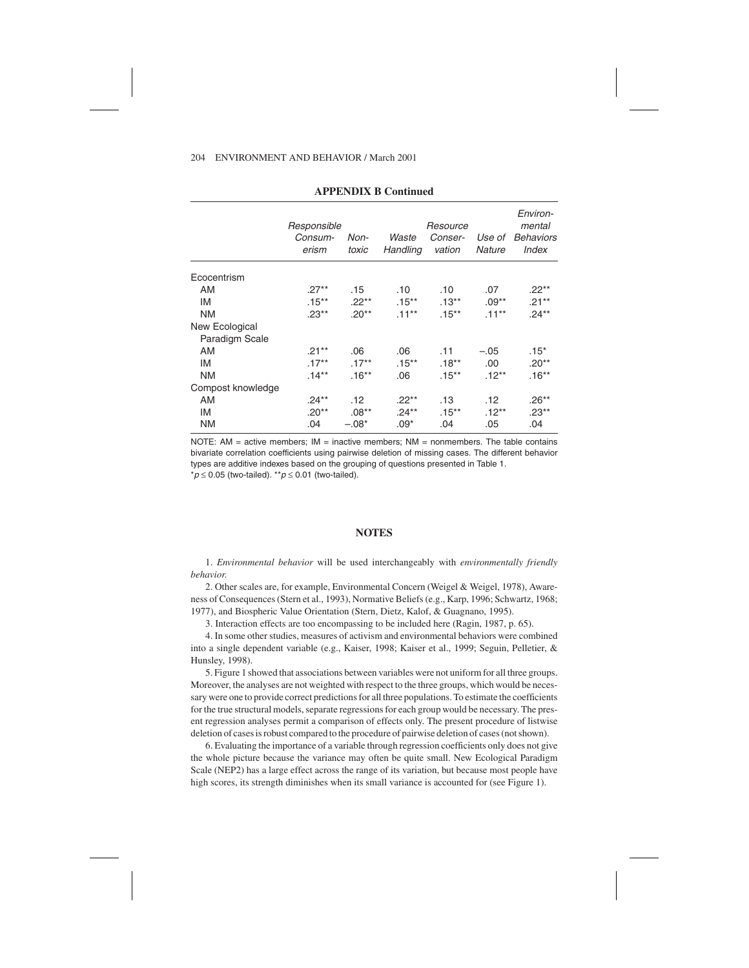| Consum-<br>erism | Non-<br>toxic | Waste<br>Handling | Resource<br>Conser-<br>vation | Use of<br><b>Nature</b> | Environ-<br>mental<br><b>Behaviors</b><br><b>Index</b> |
|------------------|---------------|-------------------|-------------------------------|-------------------------|--------------------------------------------------------|
|                  |               |                   |                               |                         |                                                        |
| $.27***$         | .15           | .10               | .10                           | .07                     | .22**                                                  |
| $.15***$         | $.22**$       | $.15***$          | $.13***$                      | $.09**$                 | $.21***$                                               |
| $.23**$          | $.20**$       | $.11***$          | $.15***$                      | $.11***$                | $.24**$                                                |
|                  |               |                   |                               |                         |                                                        |
|                  |               |                   |                               |                         |                                                        |
| $.21***$         | .06           | .06               | .11                           | $-.05$                  | $.15*$                                                 |
| $.17***$         | $.17***$      | $.15***$          | $.18***$                      | .00                     | $.20**$                                                |
| $.14***$         | $.16***$      | .06               | $.15***$                      | $.12***$                | $.16***$                                               |
|                  |               |                   |                               |                         |                                                        |
| $.24***$         | .12           | $.22***$          | .13                           | .12                     | $.26**$                                                |
| $.20**$          | $.08***$      | $.24***$          | $.15***$                      | $.12***$                | $.23**$                                                |
| .04              | $-.08*$       | $.09*$            | .04                           | .05                     | .04                                                    |
|                  |               | Responsible       |                               |                         |                                                        |

#### **APPENDIX B Continued**

NOTE:  $AM =$  active members;  $IM =$  inactive members;  $NM =$  nonmembers. The table contains bivariate correlation coefficients using pairwise deletion of missing cases. The different behavior types are additive indexes based on the grouping of questions presented in Table 1.  $p \le 0.05$  (two-tailed). \*\*  $p \le 0.01$  (two-tailed).

## **NOTES**

1. *Environmental behavior* will be used interchangeably with *environmentally friendly behavior*.

2. Other scales are, for example, Environmental Concern (Weigel & Weigel, 1978), Awareness of Consequences (Stern et al., 1993), Normative Beliefs (e.g., Karp, 1996; Schwartz, 1968; 1977), and Biospheric Value Orientation (Stern, Dietz, Kalof, & Guagnano, 1995).

3. Interaction effects are too encompassing to be included here (Ragin, 1987, p. 65).

4. In some other studies, measures of activism and environmental behaviors were combined into a single dependent variable (e.g., Kaiser, 1998; Kaiser et al., 1999; Seguin, Pelletier, & Hunsley, 1998).

5. Figure 1 showed that associations between variables were not uniform for all three groups. Moreover, the analyses are not weighted with respect to the three groups, which would be necessary were one to provide correct predictions for all three populations. To estimate the coefficients for the true structural models, separate regressions for each group would be necessary. The present regression analyses permit a comparison of effects only. The present procedure of listwise deletion of cases is robust compared to the procedure of pairwise deletion of cases (not shown).

6. Evaluating the importance of a variable through regression coefficients only does not give the whole picture because the variance may often be quite small. New Ecological Paradigm Scale (NEP2) has a large effect across the range of its variation, but because most people have high scores, its strength diminishes when its small variance is accounted for (see Figure 1).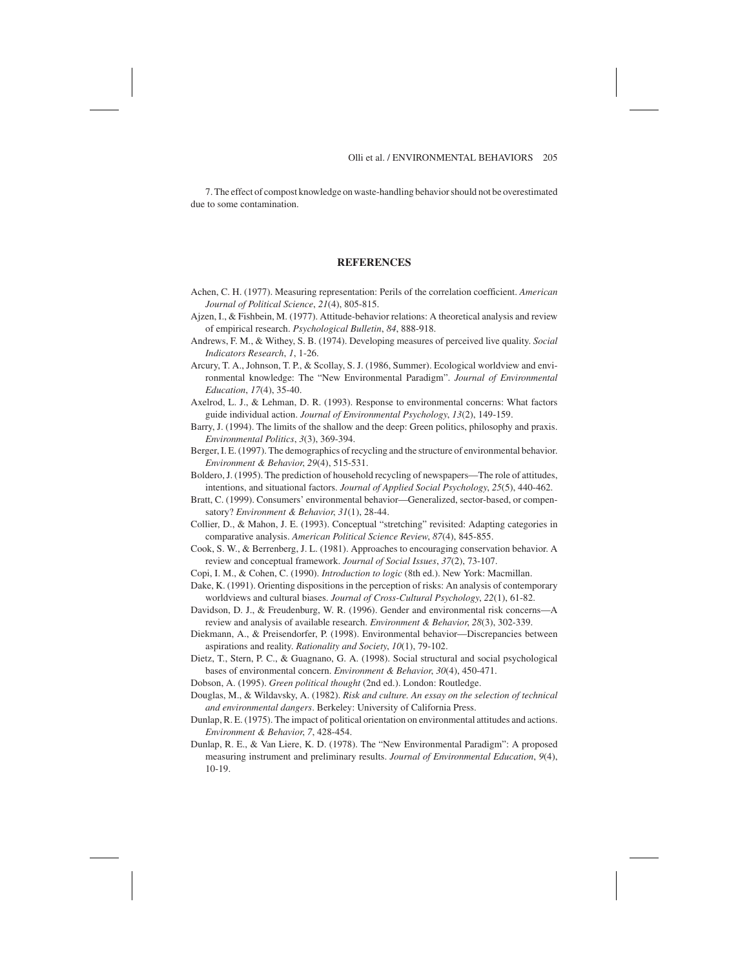7. The effect of compost knowledge on waste-handling behavior should not be overestimated due to some contamination.

# **REFERENCES**

- Achen, C. H. (1977). Measuring representation: Perils of the correlation coefficient. *American Journal of Political Science*, *21*(4), 805-815.
- Ajzen, I., & Fishbein, M. (1977). Attitude-behavior relations: A theoretical analysis and review of empirical research. *Psychological Bulletin*, *84*, 888-918.
- Andrews, F. M., & Withey, S. B. (1974). Developing measures of perceived live quality. *Social Indicators Research*, *1*, 1-26.
- Arcury, T. A., Johnson, T. P., & Scollay, S. J. (1986, Summer). Ecological worldview and environmental knowledge: The "New Environmental Paradigm". *Journal of Environmental Education*, *17*(4), 35-40.
- Axelrod, L. J., & Lehman, D. R. (1993). Response to environmental concerns: What factors guide individual action. *Journal of Environmental Psychology*, *13*(2), 149-159.
- Barry, J. (1994). The limits of the shallow and the deep: Green politics, philosophy and praxis. *Environmental Politics*, *3*(3), 369-394.
- Berger, I. E. (1997). The demographics of recycling and the structure of environmental behavior. *Environment & Behavior*, *29*(4), 515-531.
- Boldero, J. (1995). The prediction of household recycling of newspapers—The role of attitudes, intentions, and situational factors. *Journal of Applied Social Psychology*, *25*(5), 440-462.
- Bratt, C. (1999). Consumers' environmental behavior—Generalized, sector-based, or compensatory? *Environment & Behavior*, *31*(1), 28-44.
- Collier, D., & Mahon, J. E. (1993). Conceptual "stretching" revisited: Adapting categories in comparative analysis. *American Political Science Review*, *87*(4), 845-855.
- Cook, S. W., & Berrenberg, J. L. (1981). Approaches to encouraging conservation behavior. A review and conceptual framework. *Journal of Social Issues*, *37*(2), 73-107.
- Copi, I. M., & Cohen, C. (1990). *Introduction to logic* (8th ed.). New York: Macmillan. Dake, K. (1991). Orienting dispositions in the perception of risks: An analysis of contemporary
- worldviews and cultural biases. *Journal of Cross-Cultural Psychology*, *22*(1), 61-82. Davidson, D. J., & Freudenburg, W. R. (1996). Gender and environmental risk concerns-
- review and analysis of available research. *Environment & Behavior*, *28*(3), 302-339.
- Diekmann, A., & Preisendorfer, P. (1998). Environmental behavior—Discrepancies between aspirations and reality. *Rationality and Society*, *10*(1), 79-102.
- Dietz, T., Stern, P. C., & Guagnano, G. A. (1998). Social structural and social psychological bases of environmental concern. *Environment & Behavior*, *30*(4), 450-471.
- Dobson, A. (1995). *Green political thought* (2nd ed.). London: Routledge.
- Douglas, M., & Wildavsky, A. (1982). *Risk and culture. An essay on the selection of technical and environmental dangers*. Berkeley: University of California Press.
- Dunlap, R. E. (1975). The impact of political orientation on environmental attitudes and actions. *Environment & Behavior*, *7*, 428-454.
- Dunlap, R. E., & Van Liere, K. D. (1978). The "New Environmental Paradigm": A proposed measuring instrument and preliminary results. *Journal of Environmental Education*, *9*(4), 10-19.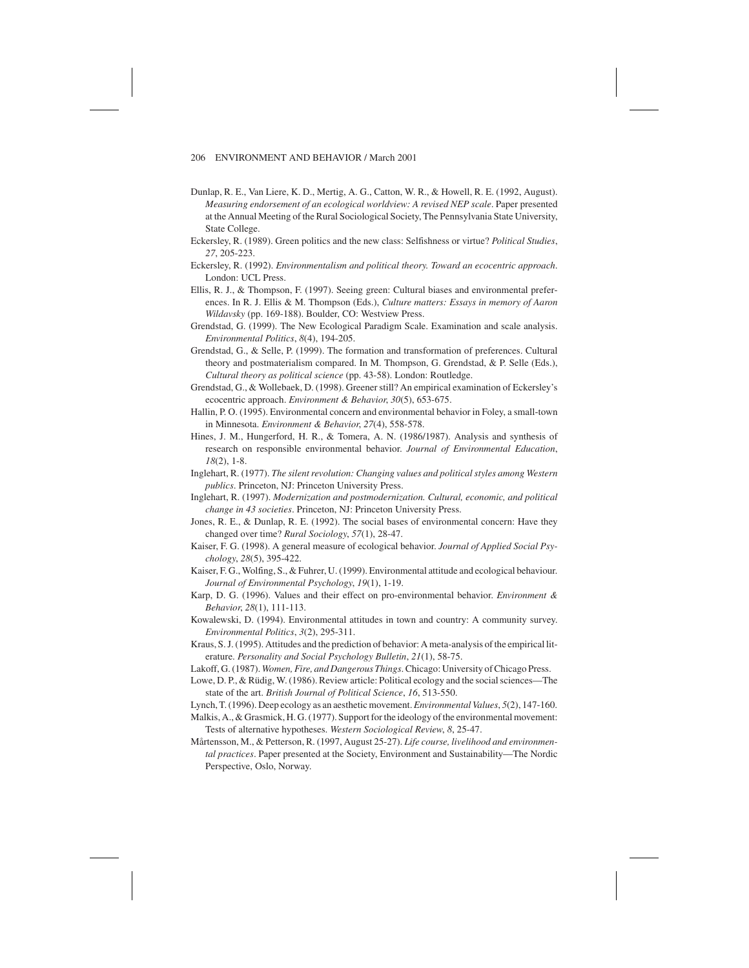- Dunlap, R. E., Van Liere, K. D., Mertig, A. G., Catton, W. R., & Howell, R. E. (1992, August). *Measuring endorsement of an ecological worldview: A revised NEP scale*. Paper presented at the Annual Meeting of the Rural Sociological Society, The Pennsylvania State University, State College.
- Eckersley, R. (1989). Green politics and the new class: Selfishness or virtue? *Political Studies*, *27*, 205-223.
- Eckersley, R. (1992). *Environmentalism and political theory. Toward an ecocentric approach*. London: UCL Press.
- Ellis, R. J., & Thompson, F. (1997). Seeing green: Cultural biases and environmental preferences. In R. J. Ellis & M. Thompson (Eds.), *Culture matters: Essays in memory of Aaron Wildavsky* (pp. 169-188). Boulder, CO: Westview Press.
- Grendstad, G. (1999). The New Ecological Paradigm Scale. Examination and scale analysis. *Environmental Politics*, *8*(4), 194-205.
- Grendstad, G., & Selle, P. (1999). The formation and transformation of preferences. Cultural theory and postmaterialism compared. In M. Thompson, G. Grendstad, & P. Selle (Eds.), *Cultural theory as political science* (pp. 43-58). London: Routledge.
- Grendstad, G., & Wollebaek, D. (1998). Greener still? An empirical examination of Eckersley's ecocentric approach. *Environment & Behavior*, *30*(5), 653-675.
- Hallin, P. O. (1995). Environmental concern and environmental behavior in Foley, a small-town in Minnesota. *Environment & Behavior*, *27*(4), 558-578.
- Hines, J. M., Hungerford, H. R., & Tomera, A. N. (1986/1987). Analysis and synthesis of research on responsible environmental behavior. *Journal of Environmental Education*, *18*(2), 1-8.
- Inglehart, R. (1977). *The silent revolution: Changing values and political styles among Western publics*. Princeton, NJ: Princeton University Press.
- Inglehart, R. (1997). *Modernization and postmodernization. Cultural, economic, and political change in 43 societies*. Princeton, NJ: Princeton University Press.
- Jones, R. E., & Dunlap, R. E. (1992). The social bases of environmental concern: Have they changed over time? *Rural Sociology*, *57*(1), 28-47.
- Kaiser, F. G. (1998). A general measure of ecological behavior. *Journal of Applied Social Psychology*, *28*(5), 395-422.
- Kaiser, F. G., Wolfing, S., & Fuhrer, U. (1999). Environmental attitude and ecological behaviour. *Journal of Environmental Psychology*, *19*(1), 1-19.
- Karp, D. G. (1996). Values and their effect on pro-environmental behavior. *Environment & Behavior*, *28*(1), 111-113.
- Kowalewski, D. (1994). Environmental attitudes in town and country: A community survey. *Environmental Politics*, *3*(2), 295-311.
- Kraus, S. J. (1995). Attitudes and the prediction of behavior: A meta-analysis of the empirical literature. *Personality and Social Psychology Bulletin*, *21*(1), 58-75.
- Lakoff, G. (1987). *Women, Fire, and Dangerous Things*. Chicago: University of Chicago Press.

Lowe, D. P., & Rüdig, W. (1986). Review article: Political ecology and the social sciences—The state of the art. *British Journal of Political Science*, *16*, 513-550.

Lynch, T. (1996). Deep ecology as an aesthetic movement.*Environmental Values*, *5*(2), 147-160.

Malkis, A., & Grasmick, H. G. (1977). Support for the ideology of the environmental movement: Tests of alternative hypotheses. *Western Sociological Review*, *8*, 25-47.

Mårtensson, M., & Petterson, R. (1997, August 25-27). *Life course, livelihood and environmental practices*. Paper presented at the Society, Environment and Sustainability—The Nordic Perspective, Oslo, Norway.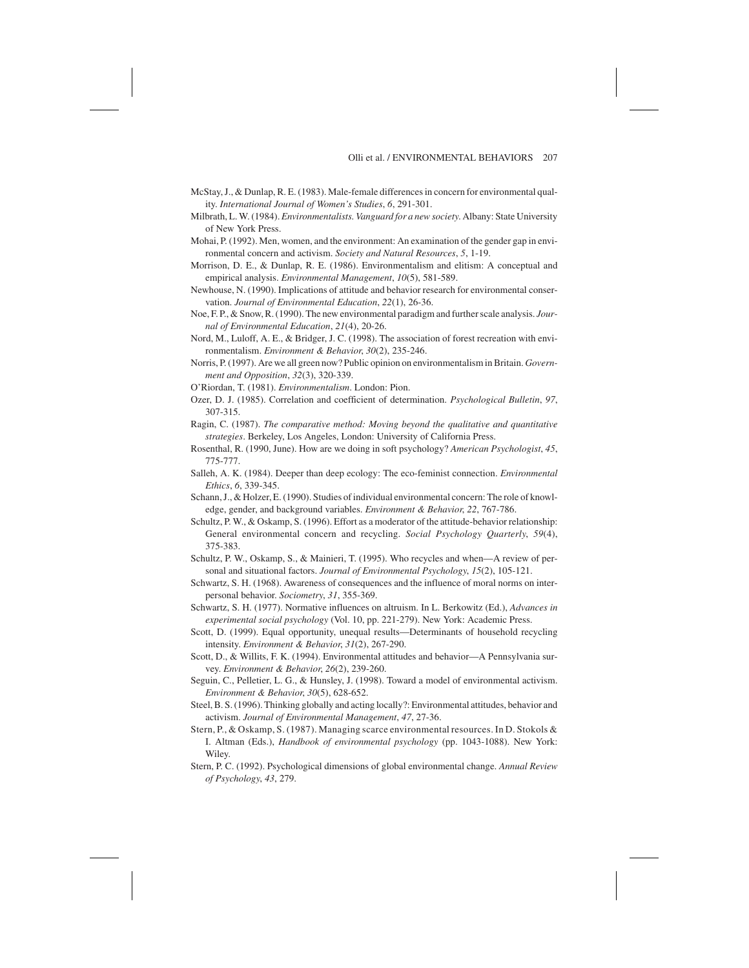- McStay, J., & Dunlap, R. E. (1983). Male-female differences in concern for environmental quality. *International Journal of Women's Studies*, *6*, 291-301.
- Milbrath, L. W. (1984). *Environmentalists. Vanguard for a new society*. Albany: State University of New York Press.
- Mohai, P. (1992). Men, women, and the environment: An examination of the gender gap in environmental concern and activism. *Society and Natural Resources*, *5*, 1-19.
- Morrison, D. E., & Dunlap, R. E. (1986). Environmentalism and elitism: A conceptual and empirical analysis. *Environmental Management*, *10*(5), 581-589.
- Newhouse, N. (1990). Implications of attitude and behavior research for environmental conservation. *Journal of Environmental Education*, *22*(1), 26-36.
- Noe, F. P., & Snow, R. (1990). The new environmental paradigm and further scale analysis. *Journal of Environmental Education*, *21*(4), 20-26.
- Nord, M., Luloff, A. E., & Bridger, J. C. (1998). The association of forest recreation with environmentalism. *Environment & Behavior*, *30*(2), 235-246.
- Norris, P. (1997). Are we all green now? Public opinion on environmentalism in Britain. *Government and Opposition*, *32*(3), 320-339.
- O'Riordan, T. (1981). *Environmentalism*. London: Pion.
- Ozer, D. J. (1985). Correlation and coefficient of determination. *Psychological Bulletin*, *97*, 307-315.
- Ragin, C. (1987). *The comparative method: Moving beyond the qualitative and quantitative strategies*. Berkeley, Los Angeles, London: University of California Press.
- Rosenthal, R. (1990, June). How are we doing in soft psychology? *American Psychologist*, *45*, 775-777.
- Salleh, A. K. (1984). Deeper than deep ecology: The eco-feminist connection. *Environmental Ethics*, *6*, 339-345.
- Schann, J., & Holzer, E. (1990). Studies of individual environmental concern: The role of knowledge, gender, and background variables. *Environment & Behavior*, *22*, 767-786.
- Schultz, P. W., & Oskamp, S. (1996). Effort as a moderator of the attitude-behavior relationship: General environmental concern and recycling. *Social Psychology Quarterly*, *59*(4), 375-383.
- Schultz, P. W., Oskamp, S., & Mainieri, T. (1995). Who recycles and when—A review of personal and situational factors. *Journal of Environmental Psychology*, *15*(2), 105-121.
- Schwartz, S. H. (1968). Awareness of consequences and the influence of moral norms on interpersonal behavior. *Sociometry*, *31*, 355-369.
- Schwartz, S. H. (1977). Normative influences on altruism. In L. Berkowitz (Ed.), *Advances in experimental social psychology* (Vol. 10, pp. 221-279). New York: Academic Press.
- Scott, D. (1999). Equal opportunity, unequal results—Determinants of household recycling intensity. *Environment & Behavior*, *31*(2), 267-290.
- Scott, D., & Willits, F. K. (1994). Environmental attitudes and behavior—A Pennsylvania survey. *Environment & Behavior*, *26*(2), 239-260.
- Seguin, C., Pelletier, L. G., & Hunsley, J. (1998). Toward a model of environmental activism. *Environment & Behavior*, *30*(5), 628-652.
- Steel, B. S. (1996). Thinking globally and acting locally?: Environmental attitudes, behavior and activism. *Journal of Environmental Management*, *47*, 27-36.
- Stern, P., & Oskamp, S. (1987). Managing scarce environmental resources. In D. Stokols & I. Altman (Eds.), *Handbook of environmental psychology* (pp. 1043-1088). New York: Wiley
- Stern, P. C. (1992). Psychological dimensions of global environmental change. *Annual Review of Psychology*, *43*, 279.